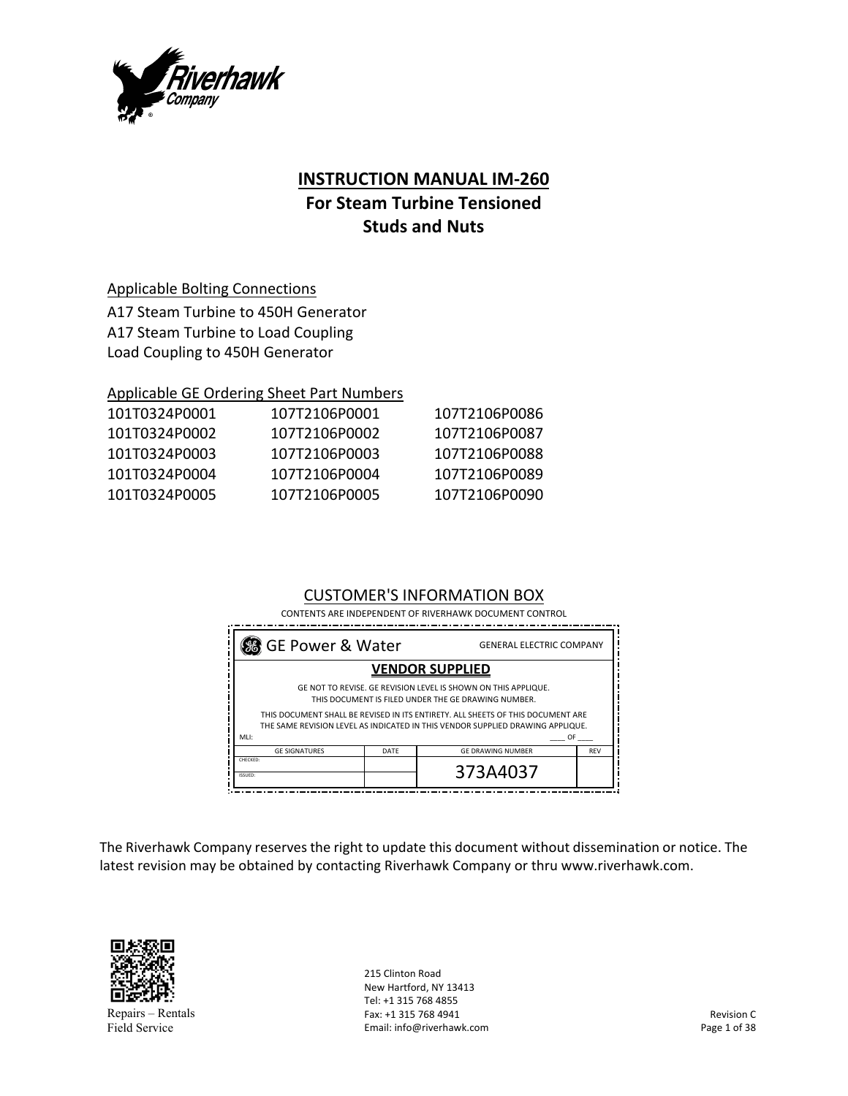

## **INSTRUCTION MANUAL IM‐260**

# **For Steam Turbine Tensioned Studs and Nuts**

## Applicable Bolting Connections

A17 Steam Turbine to 450H Generator A17 Steam Turbine to Load Coupling Load Coupling to 450H Generator

## Applicable GE Ordering Sheet Part Numbers

| 101T0324P0001 | 107T2106P0001 | 107T2106P0086 |
|---------------|---------------|---------------|
| 101T0324P0002 | 107T2106P0002 | 107T2106P0087 |
| 101T0324P0003 | 107T2106P0003 | 107T2106P0088 |
| 101T0324P0004 | 107T2106P0004 | 107T2106P0089 |
| 101T0324P0005 | 107T2106P0005 | 107T2106P0090 |
|               |               |               |

## CUSTOMER'S INFORMATION BOX

CONTENTS ARE INDEPENDENT OF RIVERHAWK DOCUMENT CONTROL

| % GE Power & Water<br><b>GENERAL ELECTRIC COMPANY</b> |      |                                                                                                                                                                                                                                                                                                         |            |  |  |  |  |  |
|-------------------------------------------------------|------|---------------------------------------------------------------------------------------------------------------------------------------------------------------------------------------------------------------------------------------------------------------------------------------------------------|------------|--|--|--|--|--|
| <b>VENDOR SUPPLIED</b>                                |      |                                                                                                                                                                                                                                                                                                         |            |  |  |  |  |  |
| MLI:                                                  |      | GE NOT TO REVISE. GE REVISION LEVEL IS SHOWN ON THIS APPLIQUE.<br>THIS DOCUMENT IS FILED UNDER THE GE DRAWING NUMBER.<br>THIS DOCUMENT SHALL BE REVISED IN ITS ENTIRETY. ALL SHEETS OF THIS DOCUMENT ARE<br>THE SAME REVISION LEVEL AS INDICATED IN THIS VENDOR SUPPLIED DRAWING APPLIQUE.<br><b>OF</b> |            |  |  |  |  |  |
| <b>GE SIGNATURES</b>                                  | DATE | <b>GE DRAWING NUMBER</b>                                                                                                                                                                                                                                                                                | <b>REV</b> |  |  |  |  |  |
| CHECKED:<br>ISSUED:                                   |      | 373A4037                                                                                                                                                                                                                                                                                                |            |  |  |  |  |  |

The Riverhawk Company reserves the right to update this document without dissemination or notice. The latest revision may be obtained by contacting Riverhawk Company or thru www.riverhawk.com.



Repairs – Rentals Field Service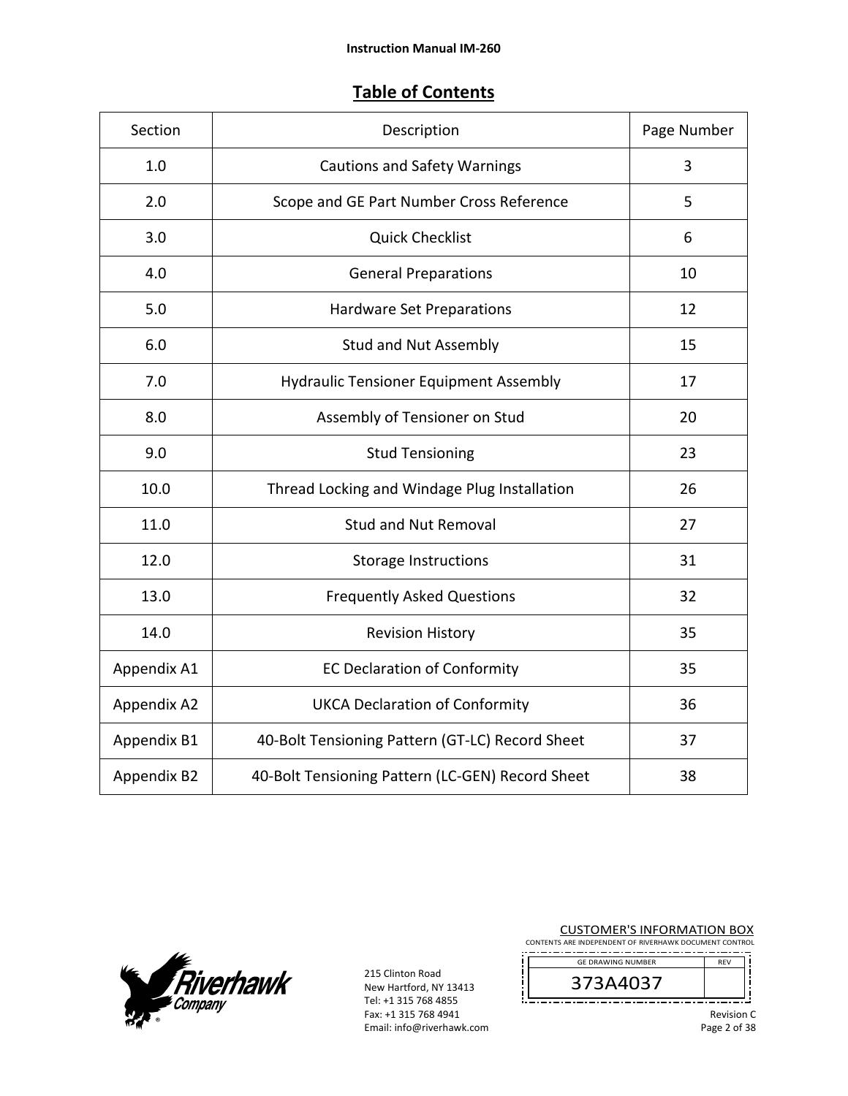## **Table of Contents**

| Section     | Description                                      | Page Number |
|-------------|--------------------------------------------------|-------------|
| 1.0         | <b>Cautions and Safety Warnings</b>              | 3           |
| 2.0         | Scope and GE Part Number Cross Reference         | 5           |
| 3.0         | <b>Quick Checklist</b>                           | 6           |
| 4.0         | <b>General Preparations</b>                      | 10          |
| 5.0         | <b>Hardware Set Preparations</b>                 | 12          |
| 6.0         | <b>Stud and Nut Assembly</b>                     | 15          |
| 7.0         | <b>Hydraulic Tensioner Equipment Assembly</b>    | 17          |
| 8.0         | Assembly of Tensioner on Stud                    | 20          |
| 9.0         | <b>Stud Tensioning</b>                           | 23          |
| 10.0        | Thread Locking and Windage Plug Installation     | 26          |
| 11.0        | <b>Stud and Nut Removal</b>                      | 27          |
| 12.0        | <b>Storage Instructions</b>                      | 31          |
| 13.0        | <b>Frequently Asked Questions</b>                | 32          |
| 14.0        | <b>Revision History</b>                          | 35          |
| Appendix A1 | <b>EC Declaration of Conformity</b>              | 35          |
| Appendix A2 | <b>UKCA Declaration of Conformity</b>            | 36          |
| Appendix B1 | 40-Bolt Tensioning Pattern (GT-LC) Record Sheet  | 37          |
| Appendix B2 | 40-Bolt Tensioning Pattern (LC-GEN) Record Sheet | 38          |



215 Clinton Road<br>New Hartford New Hartford, NY 13413 Tel: +1 315 768 4855 Fax: +1 315 768 4941 Email: info@riverhawk.com

| <b>CUSTOMER'S INFORMATION BOX</b><br>CONTENTS ARE INDEPENDENT OF RIVERHAWK DOCUMENT CONTROL |            |  |
|---------------------------------------------------------------------------------------------|------------|--|
| <b>GE DRAWING NUMBER</b>                                                                    | <b>RFV</b> |  |
| 373A4037                                                                                    |            |  |
|                                                                                             | Revisior   |  |

Revision C Page 2 of 38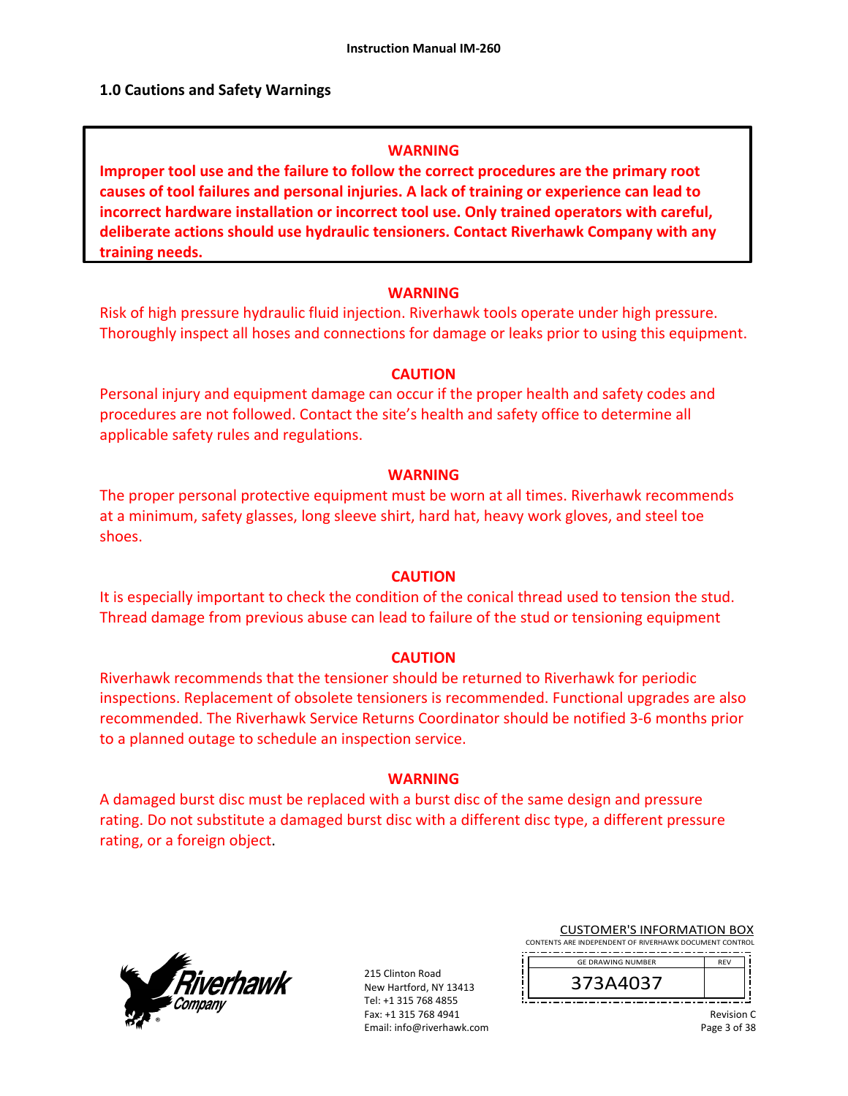#### **1.0 Cautions and Safety Warnings**

#### **WARNING**

**Improper tool use and the failure to follow the correct procedures are the primary root causes of tool failures and personal injuries. A lack of training or experience can lead to incorrect hardware installation or incorrect tool use. Only trained operators with careful, deliberate actions should use hydraulic tensioners. Contact Riverhawk Company with any training needs.** 

#### **WARNING**

Risk of high pressure hydraulic fluid injection. Riverhawk tools operate under high pressure. Thoroughly inspect all hoses and connections for damage or leaks prior to using this equipment.

#### **CAUTION**

Personal injury and equipment damage can occur if the proper health and safety codes and procedures are not followed. Contact the site's health and safety office to determine all applicable safety rules and regulations.

#### **WARNING**

The proper personal protective equipment must be worn at all times. Riverhawk recommends at a minimum, safety glasses, long sleeve shirt, hard hat, heavy work gloves, and steel toe shoes.

#### **CAUTION**

It is especially important to check the condition of the conical thread used to tension the stud. Thread damage from previous abuse can lead to failure of the stud or tensioning equipment

#### **CAUTION**

Riverhawk recommends that the tensioner should be returned to Riverhawk for periodic inspections. Replacement of obsolete tensioners is recommended. Functional upgrades are also recommended. The Riverhawk Service Returns Coordinator should be notified 3‐6 months prior to a planned outage to schedule an inspection service.

#### **WARNING**

A damaged burst disc must be replaced with a burst disc of the same design and pressure rating. Do not substitute a damaged burst disc with a different disc type, a different pressure rating, or a foreign object.



215 Clinton Road New Hartford, NY 13413 Tel: +1 315 768 4855 Fax: +1 315 768 4941 Email: info@riverhawk.com

|  |  |  |  |  |  |  |  |  |  |  |  |  |  |  |  |  |  |  |  |  | <b>CUSTOMER'S INFORMATION BOX</b> |  |  |
|--|--|--|--|--|--|--|--|--|--|--|--|--|--|--|--|--|--|--|--|--|-----------------------------------|--|--|
|  |  |  |  |  |  |  |  |  |  |  |  |  |  |  |  |  |  |  |  |  |                                   |  |  |

CONTENTS ARE INDEPENDENT OF RIVERHAWK DOCUMENT CONTROL --------------------------------------REV GE DRAWING NUMBER

373A4037

Revision C Page 3 of 38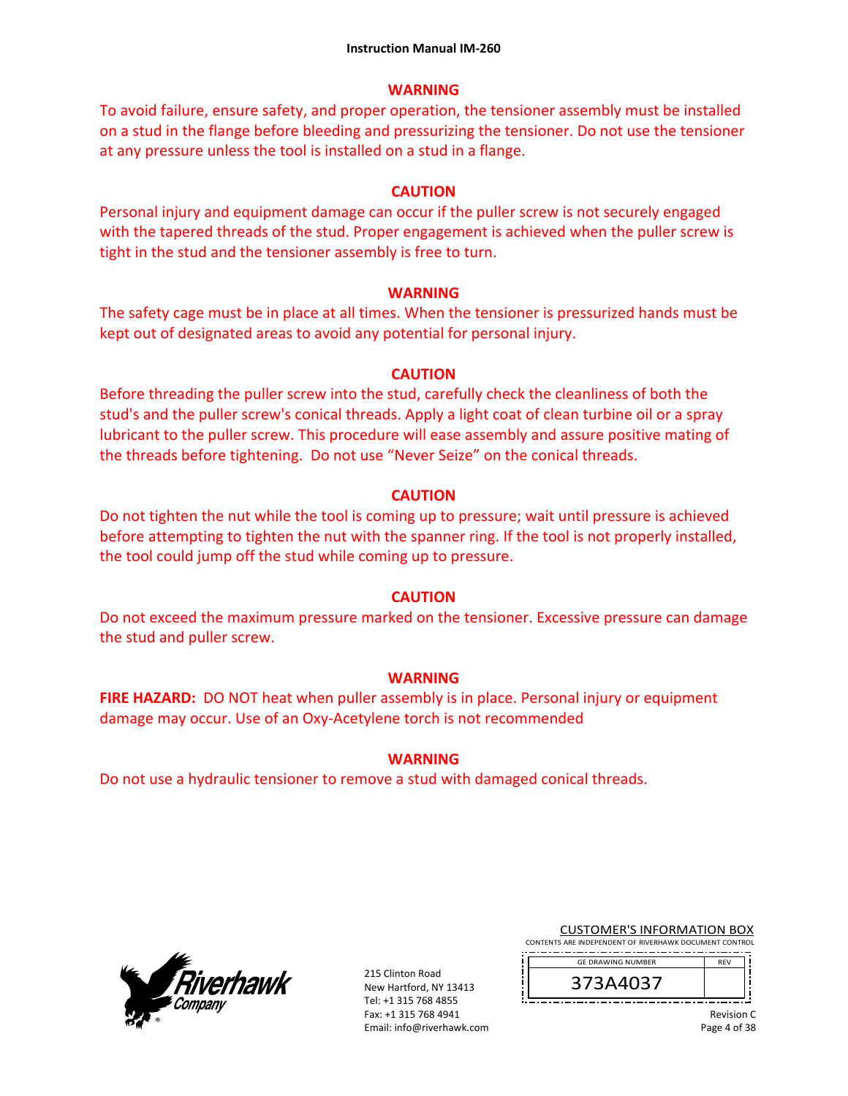## **WARNING**

To avoid failure, ensure safety, and proper operation, the tensioner assembly must be installed on a stud in the flange before bleeding and pressurizing the tensioner. Do not use the tensioner at any pressure unless the tool is installed on a stud in a flange.

## **CAUTION**

Personal injury and equipment damage can occur if the puller screw is not securely engaged with the tapered threads of the stud. Proper engagement is achieved when the puller screw is tight in the stud and the tensioner assembly is free to turn.

## **WARNING**

The safety cage must be in place at all times. When the tensioner is pressurized hands must be kept out of designated areas to avoid any potential for personal injury.

## **CAUTION**

Before threading the puller screw into the stud, carefully check the cleanliness of both the stud's and the puller screw's conical threads. Apply a light coat of clean turbine oil or a spray lubricant to the puller screw. This procedure will ease assembly and assure positive mating of the threads before tightening. Do not use "Never Seize" on the conical threads.

## **CAUTION**

Do not tighten the nut while the tool is coming up to pressure; wait until pressure is achieved before attempting to tighten the nut with the spanner ring. If the tool is not properly installed, the tool could jump off the stud while coming up to pressure.

## **CAUTION**

Do not exceed the maximum pressure marked on the tensioner. Excessive pressure can damage the stud and puller screw.

## **WARNING**

**FIRE HAZARD:** DO NOT heat when puller assembly is in place. Personal injury or equipment damage may occur. Use of an Oxy‐Acetylene torch is not recommended

## **WARNING**

Do not use a hydraulic tensioner to remove a stud with damaged conical threads.



215 Clinton Road New Hartford, NY 13413 Tel: +1 315 768 4855 Fax: +1 315 768 4941 Email: info@riverhawk.com CUSTOMER'S INFORMATION BOX

CONTENTS ARE INDEPENDENT OF RIVERHAWK DOCUMENT CONTROL ----------------------------

| <b>GF DRAWING NUMBER</b> | <b>REV</b> |
|--------------------------|------------|
| 373A4037                 |            |

Revision C Page 4 of 38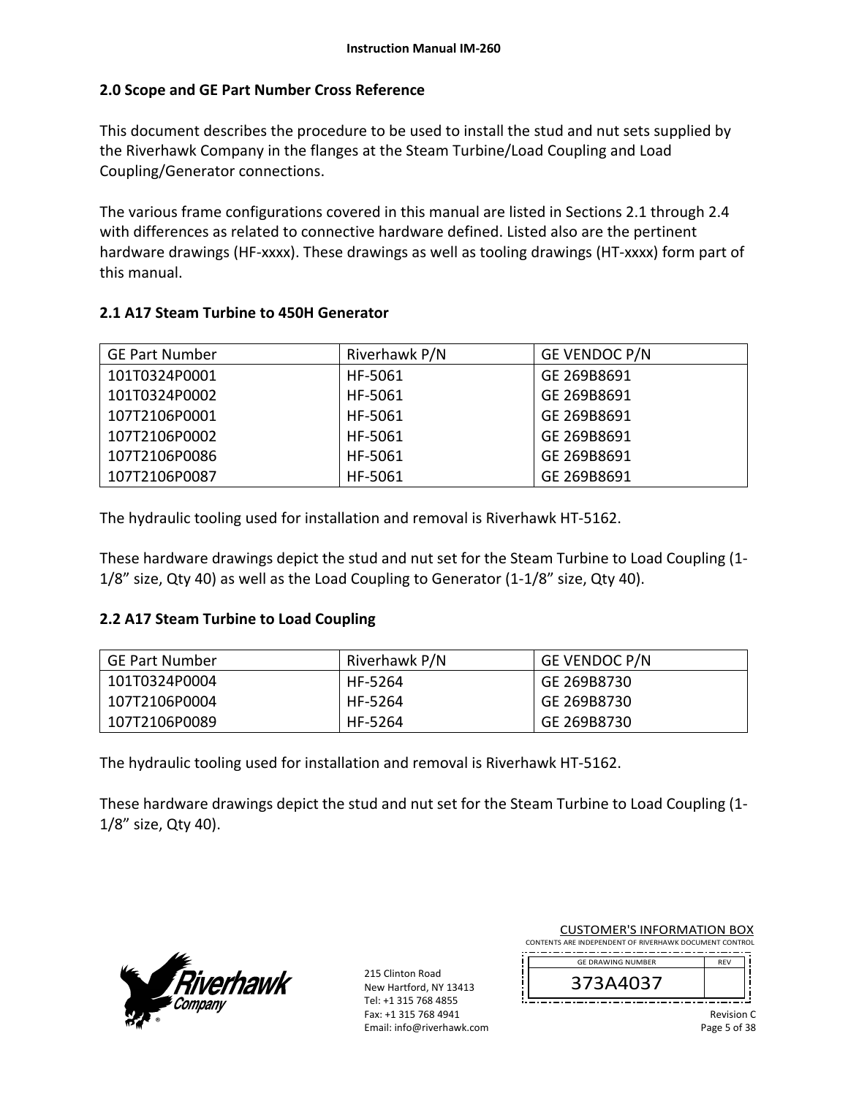## **2.0 Scope and GE Part Number Cross Reference**

This document describes the procedure to be used to install the stud and nut sets supplied by the Riverhawk Company in the flanges at the Steam Turbine/Load Coupling and Load Coupling/Generator connections.

The various frame configurations covered in this manual are listed in Sections 2.1 through 2.4 with differences as related to connective hardware defined. Listed also are the pertinent hardware drawings (HF-xxxx). These drawings as well as tooling drawings (HT-xxxx) form part of this manual.

## **2.1 A17 Steam Turbine to 450H Generator**

| <b>GE Part Number</b> | Riverhawk P/N | GE VENDOC P/N |
|-----------------------|---------------|---------------|
| 101T0324P0001         | HF-5061       | GE 269B8691   |
| 101T0324P0002         | HF-5061       | GE 269B8691   |
| 107T2106P0001         | HF-5061       | GE 269B8691   |
| 107T2106P0002         | HF-5061       | GE 269B8691   |
| 107T2106P0086         | HF-5061       | GE 269B8691   |
| 107T2106P0087         | HF-5061       | GE 269B8691   |

The hydraulic tooling used for installation and removal is Riverhawk HT‐5162.

These hardware drawings depict the stud and nut set for the Steam Turbine to Load Coupling (1‐  $1/8$ " size, Qty 40) as well as the Load Coupling to Generator  $(1-1/8)$ " size, Qty 40).

## **2.2 A17 Steam Turbine to Load Coupling**

| <b>GE Part Number</b> | Riverhawk P/N | <b>GE VENDOC P/N</b> |
|-----------------------|---------------|----------------------|
| 101T0324P0004         | HF-5264       | GE 269B8730          |
| 107T2106P0004         | HF-5264       | GE 269B8730          |
| 107T2106P0089         | HF-5264       | GE 269B8730          |

The hydraulic tooling used for installation and removal is Riverhawk HT‐5162.

These hardware drawings depict the stud and nut set for the Steam Turbine to Load Coupling (1‐ 1/8" size, Qty 40).



215 Clinton Road New Hartford, NY 13413 Tel: +1 315 768 4855 Fax: +1 315 768 4941 Email: info@riverhawk.com

| CONTENTS ARE INDEPENDENT OF RIVERHAWK DOCUMENT CONTROL |               |
|--------------------------------------------------------|---------------|
| <b>GE DRAWING NUMBER</b>                               | <b>RFV</b>    |
| 373A4037                                               |               |
|                                                        | $\cdots$<br>- |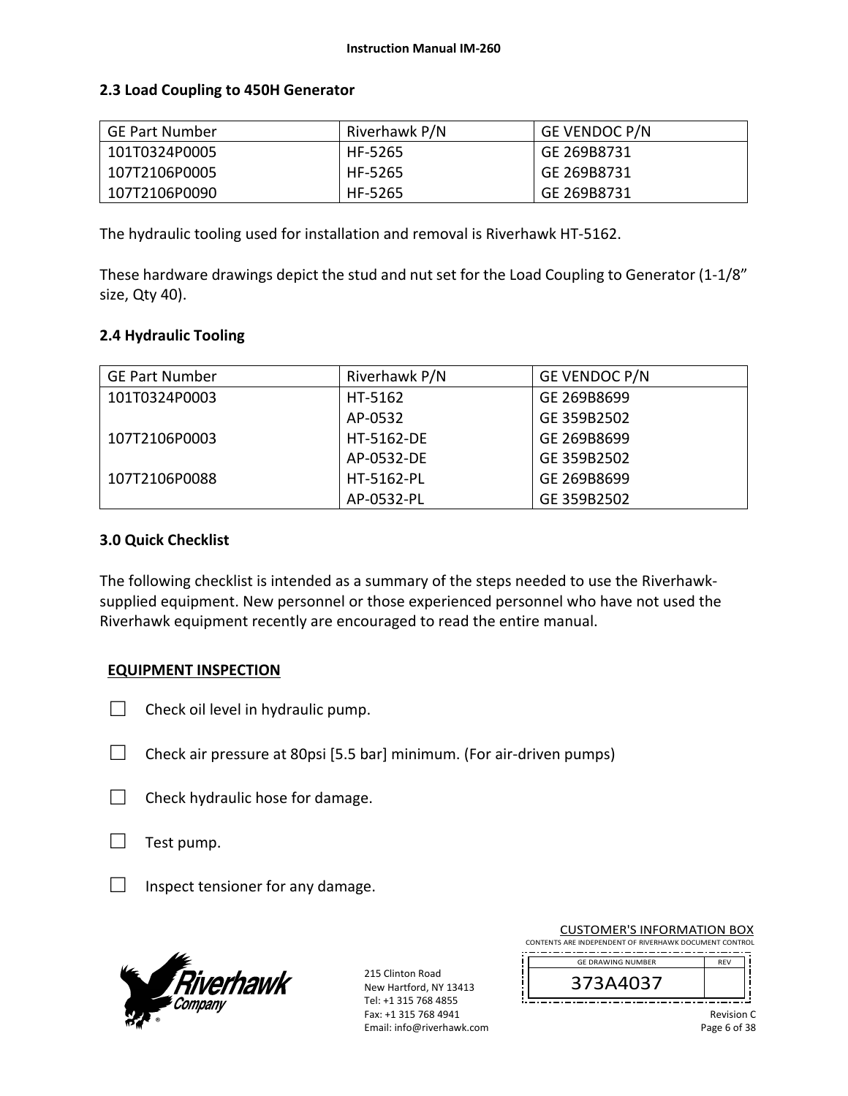## **2.3 Load Coupling to 450H Generator**

| GE Part Number | Riverhawk P/N | <b>GE VENDOC P/N</b> |
|----------------|---------------|----------------------|
| 101T0324P0005  | HF-5265       | GE 269B8731          |
| 107T2106P0005  | HF-5265       | GE 269B8731          |
| 107T2106P0090  | HF-5265       | GE 269B8731          |

The hydraulic tooling used for installation and removal is Riverhawk HT‐5162.

These hardware drawings depict the stud and nut set for the Load Coupling to Generator (1‐1/8" size, Qty 40).

## **2.4 Hydraulic Tooling**

| <b>GE Part Number</b> | Riverhawk P/N | GE VENDOC P/N |  |  |  |  |
|-----------------------|---------------|---------------|--|--|--|--|
| 101T0324P0003         | HT-5162       | GE 269B8699   |  |  |  |  |
|                       | AP-0532       | GE 359B2502   |  |  |  |  |
| 107T2106P0003         | HT-5162-DE    | GE 269B8699   |  |  |  |  |
|                       | AP-0532-DE    | GE 359B2502   |  |  |  |  |
| 107T2106P0088         | HT-5162-PL    | GE 269B8699   |  |  |  |  |
|                       | AP-0532-PL    | GE 359B2502   |  |  |  |  |

#### **3.0 Quick Checklist**

The following checklist is intended as a summary of the steps needed to use the Riverhawk‐ supplied equipment. New personnel or those experienced personnel who have not used the Riverhawk equipment recently are encouraged to read the entire manual.

## **EQUIPMENT INSPECTION**

- $\Box$  Check oil level in hydraulic pump.
- $\Box$  Check air pressure at 80psi [5.5 bar] minimum. (For air-driven pumps)
- $\Box$  Check hydraulic hose for damage.
- □ Test pump.
- $\Box$  Inspect tensioner for any damage.



215 Clinton Road New Hartford, NY 13413 Tel: +1 315 768 4855 Fax: +1 315 768 4941 Email: info@riverhawk.com

| CONTENTS ARE INDEPENDENT OF RIVERHAWK DOCUMENT CONTROL |            |
|--------------------------------------------------------|------------|
| <b>GE DRAWING NUMBER</b>                               | <b>RFV</b> |
| 373A4037                                               |            |
|                                                        |            |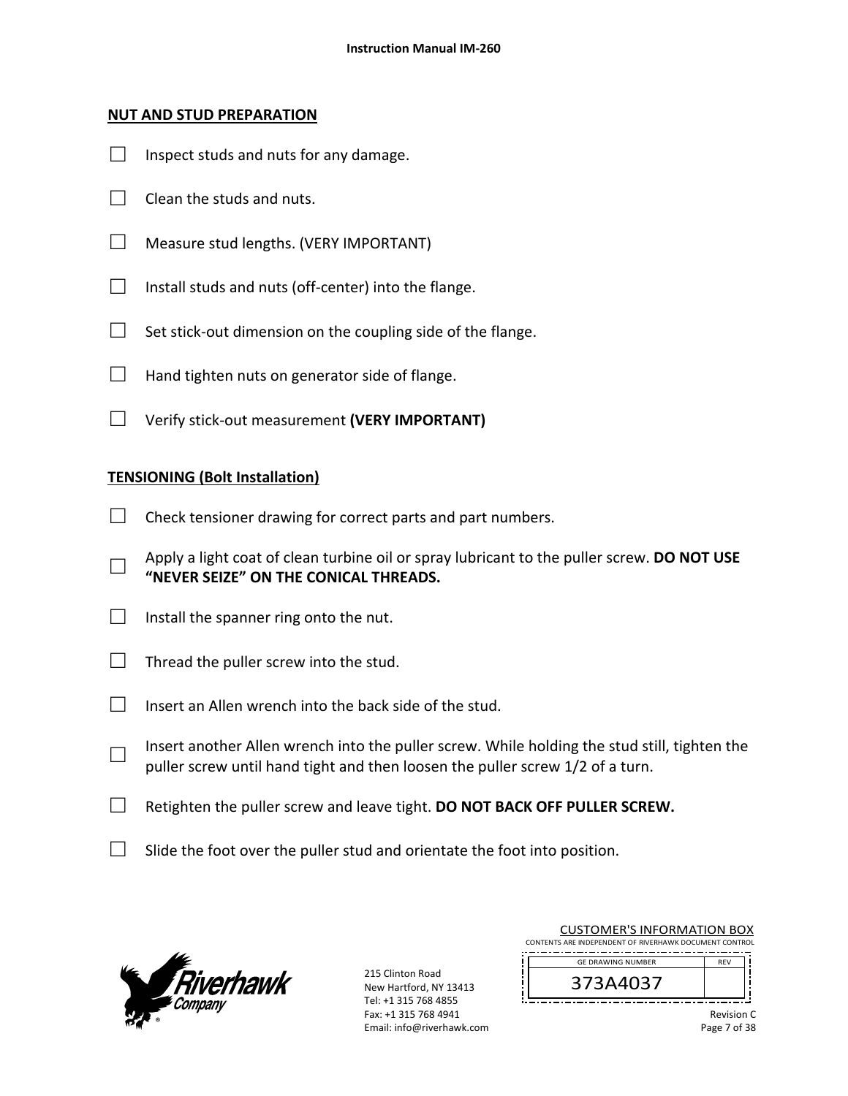#### **NUT AND STUD PREPARATION**

- $\Box$  Inspect studs and nuts for any damage.
- $\Box$  Clean the studs and nuts.
- □ Measure stud lengths. (VERY IMPORTANT)
- $\Box$  Install studs and nuts (off-center) into the flange.
- $\Box$  Set stick-out dimension on the coupling side of the flange.
- $\Box$  Hand tighten nuts on generator side of flange.
- □ Verify stick‐out measurement **(VERY IMPORTANT)**

## **TENSIONING (Bolt Installation)**

- $\Box$  Check tensioner drawing for correct parts and part numbers.
- □ Apply a light coat of clean turbine oil or spray lubricant to the puller screw. **DO NOT USE "NEVER SEIZE" ON THE CONICAL THREADS.**
- $\Box$  Install the spanner ring onto the nut.
- $\Box$  Thread the puller screw into the stud.
- $\Box$  Insert an Allen wrench into the back side of the stud.
- □ Insert another Allen wrench into the puller screw. While holding the stud still, tighten the puller screw until hand tight and then loosen the puller screw 1/2 of a turn.
- □ Retighten the puller screw and leave tight. **DO NOT BACK OFF PULLER SCREW.**
- $\Box$  Slide the foot over the puller stud and orientate the foot into position.



215 Clinton Road New Hartford, NY 13413 Tel: +1 315 768 4855 Fax: +1 315 768 4941 Email: info@riverhawk.com

| CONTENTS ARE INDEPENDENT OF RIVERHAWK DOCUMENT CONTROL |            |
|--------------------------------------------------------|------------|
| <b>GE DRAWING NUMBER</b>                               | <b>RFV</b> |
| 373A4037                                               |            |
|                                                        |            |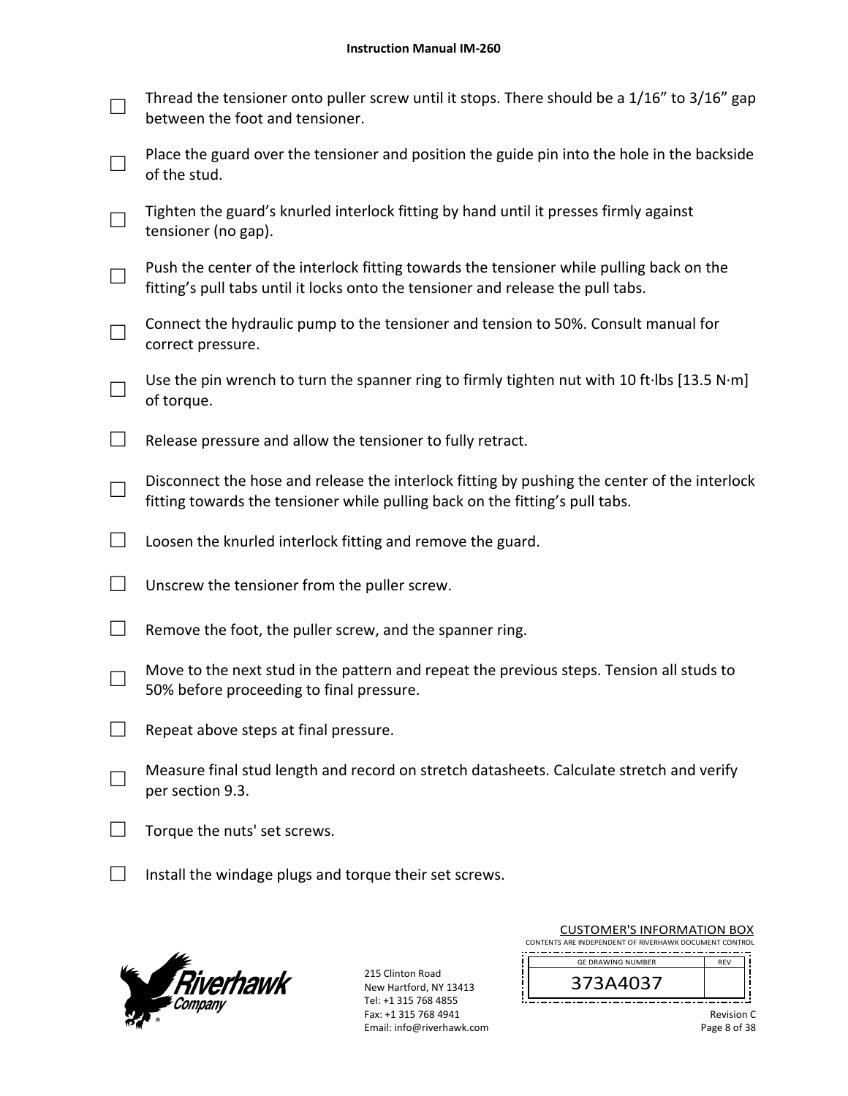|        | Thread the tensioner onto puller screw until it stops. There should be a 1/16" to 3/16" gap<br>between the foot and tensioner.                                               |
|--------|------------------------------------------------------------------------------------------------------------------------------------------------------------------------------|
|        | Place the guard over the tensioner and position the guide pin into the hole in the backside<br>of the stud.                                                                  |
|        | Tighten the guard's knurled interlock fitting by hand until it presses firmly against<br>tensioner (no gap).                                                                 |
|        | Push the center of the interlock fitting towards the tensioner while pulling back on the<br>fitting's pull tabs until it locks onto the tensioner and release the pull tabs. |
|        | Connect the hydraulic pump to the tensioner and tension to 50%. Consult manual for<br>correct pressure.                                                                      |
|        | Use the pin wrench to turn the spanner ring to firmly tighten nut with 10 ft lbs [13.5 N·m]<br>of torque.                                                                    |
| $\Box$ | Release pressure and allow the tensioner to fully retract.                                                                                                                   |
|        | Disconnect the hose and release the interlock fitting by pushing the center of the interlock<br>fitting towards the tensioner while pulling back on the fitting's pull tabs. |
|        | Loosen the knurled interlock fitting and remove the guard.                                                                                                                   |
|        | Unscrew the tensioner from the puller screw.                                                                                                                                 |
|        | Remove the foot, the puller screw, and the spanner ring.                                                                                                                     |
|        | Move to the next stud in the pattern and repeat the previous steps. Tension all studs to<br>50% before proceeding to final pressure.                                         |
|        | Repeat above steps at final pressure.                                                                                                                                        |
|        | Measure final stud length and record on stretch datasheets. Calculate stretch and verify<br>per section 9.3.                                                                 |
|        | Torque the nuts' set screws.                                                                                                                                                 |
|        | Install the windage plugs and torque their set screws.                                                                                                                       |



215 Clinton Road New Hartford, NY 13413 Tel: +1 315 768 4855 Fax: +1 315 768 4941 Email: info@riverhawk.com

| <b>RFV</b> |
|------------|
|            |
|            |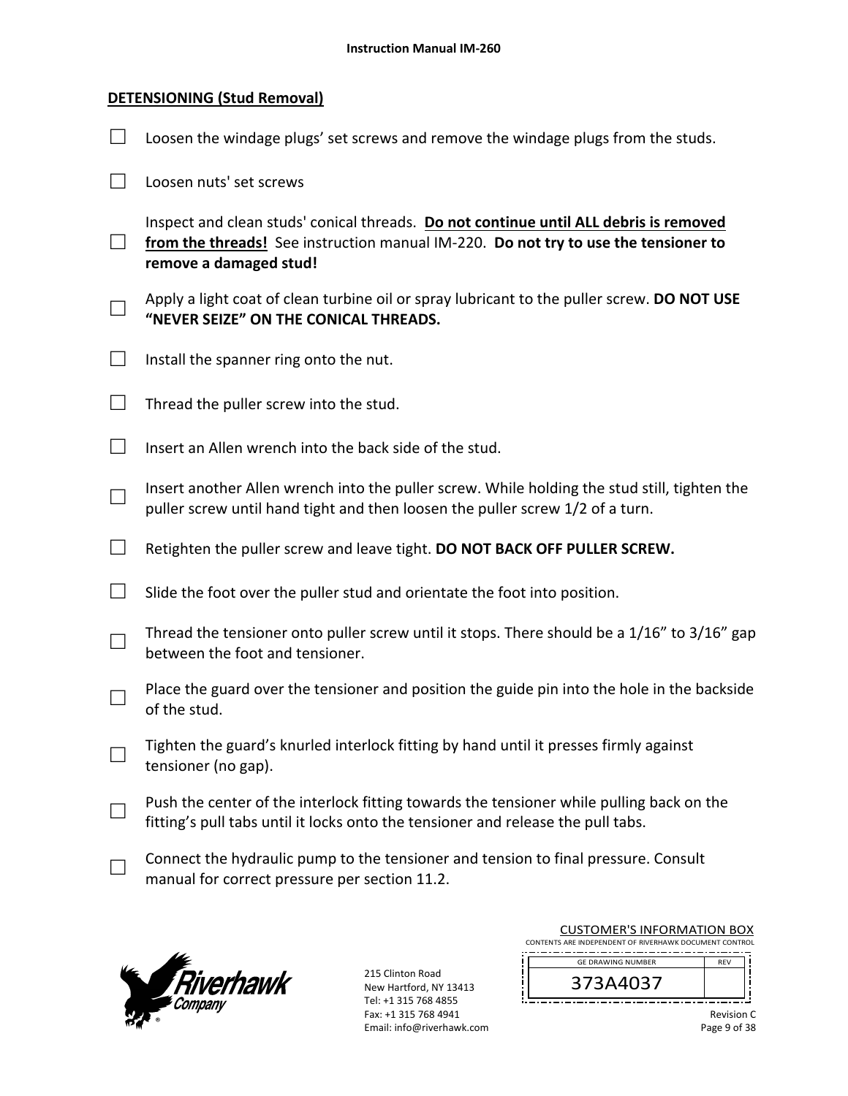## **DETENSIONING (Stud Removal)**

| Loosen the windage plugs' set screws and remove the windage plugs from the studs.                                                                                                                      |
|--------------------------------------------------------------------------------------------------------------------------------------------------------------------------------------------------------|
| Loosen nuts' set screws                                                                                                                                                                                |
| Inspect and clean studs' conical threads. Do not continue until ALL debris is removed<br>from the threads! See instruction manual IM-220. Do not try to use the tensioner to<br>remove a damaged stud! |
| Apply a light coat of clean turbine oil or spray lubricant to the puller screw. DO NOT USE<br>"NEVER SEIZE" ON THE CONICAL THREADS.                                                                    |
| Install the spanner ring onto the nut.                                                                                                                                                                 |
| Thread the puller screw into the stud.                                                                                                                                                                 |
| Insert an Allen wrench into the back side of the stud.                                                                                                                                                 |
| Insert another Allen wrench into the puller screw. While holding the stud still, tighten the<br>puller screw until hand tight and then loosen the puller screw 1/2 of a turn.                          |
| Retighten the puller screw and leave tight. DO NOT BACK OFF PULLER SCREW.                                                                                                                              |
| Slide the foot over the puller stud and orientate the foot into position.                                                                                                                              |
| Thread the tensioner onto puller screw until it stops. There should be a 1/16" to 3/16" gap<br>between the foot and tensioner.                                                                         |
| Place the guard over the tensioner and position the guide pin into the hole in the backside<br>of the stud.                                                                                            |
| Tighten the guard's knurled interlock fitting by hand until it presses firmly against<br>tensioner (no gap).                                                                                           |
| Push the center of the interlock fitting towards the tensioner while pulling back on the<br>fitting's pull tabs until it locks onto the tensioner and release the pull tabs.                           |
| Connect the hydraulic pump to the tensioner and tension to final pressure. Consult<br>manual for correct pressure per section 11.2.                                                                    |



| <b>CUSTOMER'S INFORMATION BOX</b><br>CONTENTS ARE INDEPENDENT OF RIVERHAWK DOCUMENT CONTROL |                                        |  |  |  |  |
|---------------------------------------------------------------------------------------------|----------------------------------------|--|--|--|--|
|                                                                                             | <b>GE DRAWING NUMBER</b><br><b>RFV</b> |  |  |  |  |
|                                                                                             | 373A4037                               |  |  |  |  |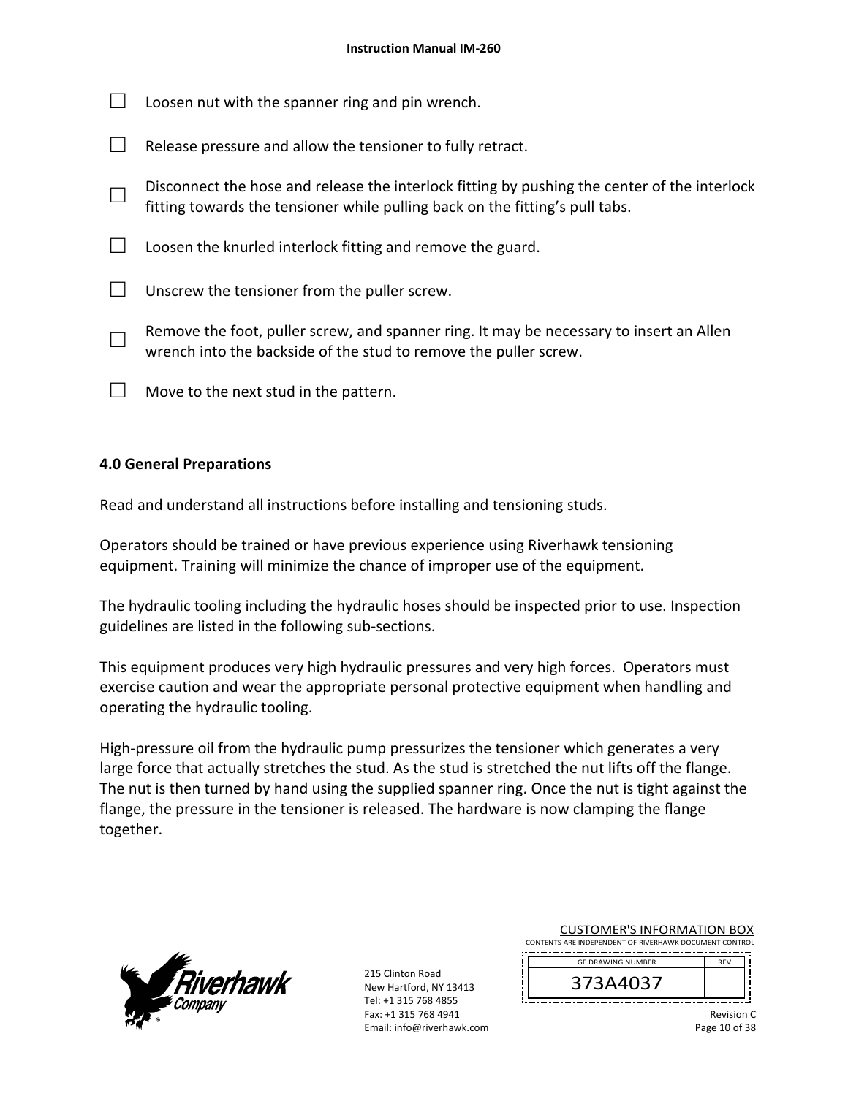|  | $\Box$ Loosen nut with the spanner ring and pin wrench. |  |
|--|---------------------------------------------------------|--|
|  |                                                         |  |

- $\Box$  Release pressure and allow the tensioner to fully retract.
- □ Disconnect the hose and release the interlock fitting by pushing the center of the interlock fitting towards the tensioner while pulling back on the fitting's pull tabs.
- $\Box$  Loosen the knurled interlock fitting and remove the guard.
- $\Box$  Unscrew the tensioner from the puller screw.
- □ Remove the foot, puller screw, and spanner ring. It may be necessary to insert an Allen wrench into the backside of the stud to remove the puller screw.
- $\Box$  Move to the next stud in the pattern.

## **4.0 General Preparations**

Read and understand all instructions before installing and tensioning studs.

Operators should be trained or have previous experience using Riverhawk tensioning equipment. Training will minimize the chance of improper use of the equipment.

The hydraulic tooling including the hydraulic hoses should be inspected prior to use. Inspection guidelines are listed in the following sub‐sections.

This equipment produces very high hydraulic pressures and very high forces. Operators must exercise caution and wear the appropriate personal protective equipment when handling and operating the hydraulic tooling.

High-pressure oil from the hydraulic pump pressurizes the tensioner which generates a very large force that actually stretches the stud. As the stud is stretched the nut lifts off the flange. The nut is then turned by hand using the supplied spanner ring. Once the nut is tight against the flange, the pressure in the tensioner is released. The hardware is now clamping the flange together.



215 Clinton Road New Hartford, NY 13413 Tel: +1 315 768 4855 Fax: +1 315 768 4941 Email: info@riverhawk.com

| CONTENTS ARE INDEPENDENT OF RIVERHAWK DOCUMENT CONTROL |            |
|--------------------------------------------------------|------------|
| <b>GE DRAWING NUMBER</b>                               | <b>RFV</b> |
| 373A4037                                               |            |

\_\_\_\_\_\_\_\_\_\_\_\_\_\_\_\_\_\_\_\_\_\_\_\_\_

CUSTOMER'S INFORMATION BOX

Revision C Page 10 of 38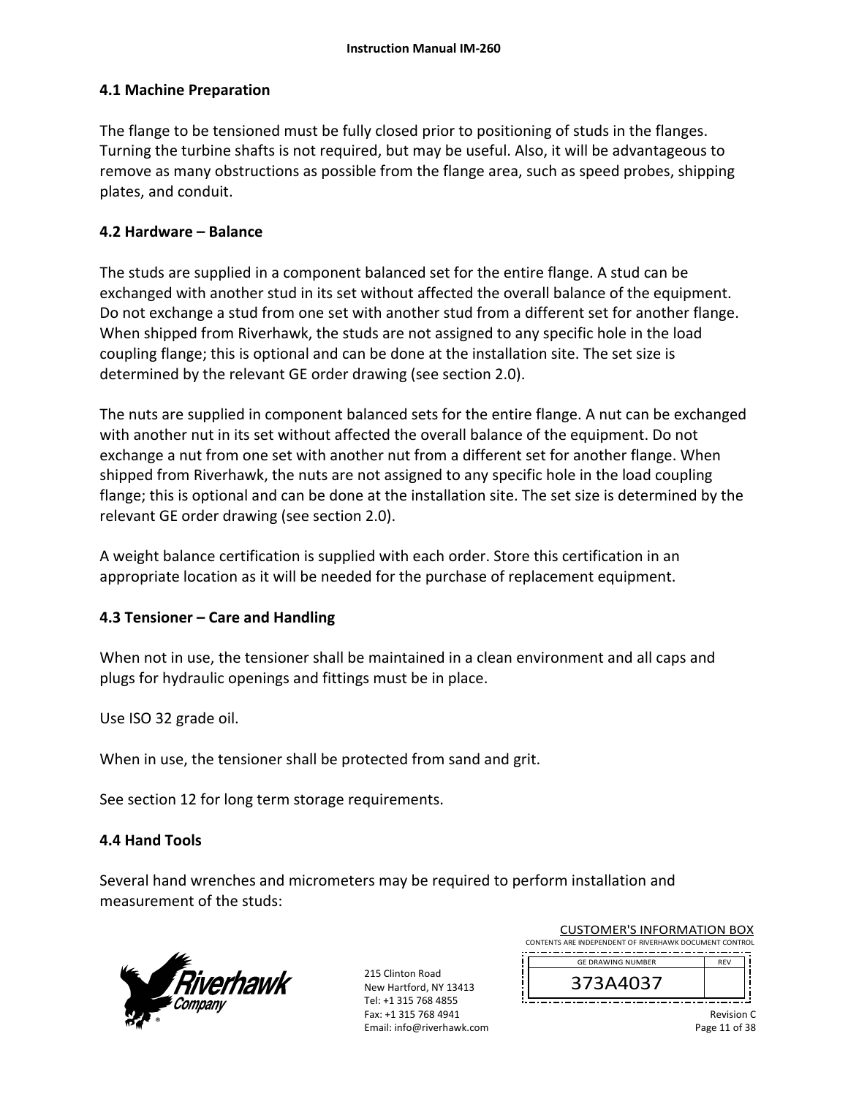## **4.1 Machine Preparation**

The flange to be tensioned must be fully closed prior to positioning of studs in the flanges. Turning the turbine shafts is not required, but may be useful. Also, it will be advantageous to remove as many obstructions as possible from the flange area, such as speed probes, shipping plates, and conduit.

## **4.2 Hardware – Balance**

The studs are supplied in a component balanced set for the entire flange. A stud can be exchanged with another stud in its set without affected the overall balance of the equipment. Do not exchange a stud from one set with another stud from a different set for another flange. When shipped from Riverhawk, the studs are not assigned to any specific hole in the load coupling flange; this is optional and can be done at the installation site. The set size is determined by the relevant GE order drawing (see section 2.0).

The nuts are supplied in component balanced sets for the entire flange. A nut can be exchanged with another nut in its set without affected the overall balance of the equipment. Do not exchange a nut from one set with another nut from a different set for another flange. When shipped from Riverhawk, the nuts are not assigned to any specific hole in the load coupling flange; this is optional and can be done at the installation site. The set size is determined by the relevant GE order drawing (see section 2.0).

A weight balance certification is supplied with each order. Store this certification in an appropriate location as it will be needed for the purchase of replacement equipment.

## **4.3 Tensioner – Care and Handling**

When not in use, the tensioner shall be maintained in a clean environment and all caps and plugs for hydraulic openings and fittings must be in place.

Use ISO 32 grade oil.

When in use, the tensioner shall be protected from sand and grit.

See section 12 for long term storage requirements.

## **4.4 Hand Tools**

Several hand wrenches and micrometers may be required to perform installation and measurement of the studs:



215 Clinton Road New Hartford, NY 13413 Tel: +1 315 768 4855 Fax: +1 315 768 4941 Email: info@riverhawk.com i<br>!

| CONTENTS ARE INDEPENDENT OF RIVERHAWK DOCUMENT CONTROL<br><b>GE DRAWING NUMBER</b><br><b>RFV</b> |  | 373A4037 |  |  |
|--------------------------------------------------------------------------------------------------|--|----------|--|--|
|                                                                                                  |  |          |  |  |
|                                                                                                  |  |          |  |  |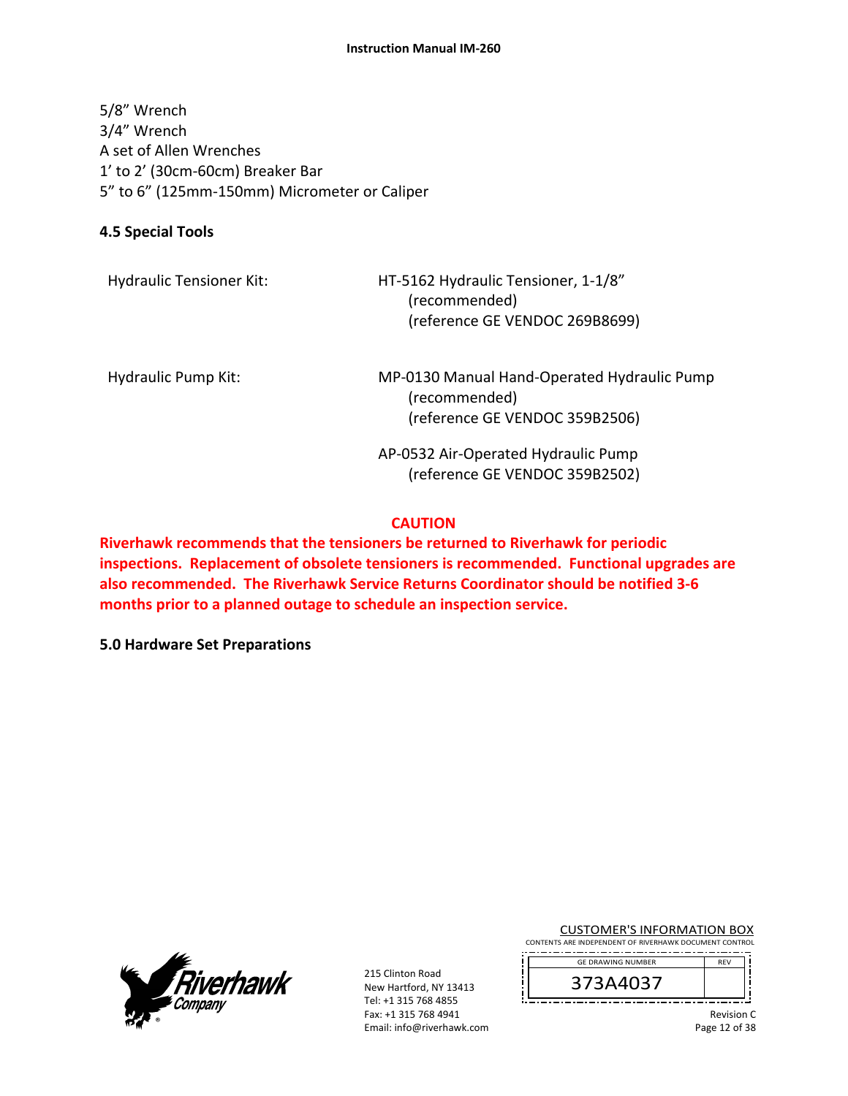#### **Instruction Manual IM‐260**

5/8" Wrench 3/4" Wrench A set of Allen Wrenches 1' to 2' (30cm‐60cm) Breaker Bar 5" to 6" (125mm‐150mm) Micrometer or Caliper

## **4.5 Special Tools**

HT-5162 Hydraulic Tensioner, 1-1/8" (recommended) (reference GE VENDOC 269B8699)

Hydraulic Pump Kit: MP-0130 Manual Hand-Operated Hydraulic Pump (recommended) (reference GE VENDOC 359B2506)

> AP‐0532 Air‐Operated Hydraulic Pump (reference GE VENDOC 359B2502)

## **CAUTION**

**Riverhawk recommends that the tensioners be returned to Riverhawk for periodic inspections. Replacement of obsolete tensioners is recommended. Functional upgrades are also recommended. The Riverhawk Service Returns Coordinator should be notified 3‐6 months prior to a planned outage to schedule an inspection service.** 

**5.0 Hardware Set Preparations**



215 Clinton Road New Hartford, NY 13413 Tel: +1 315 768 4855 Fax: +1 315 768 4941 Email: info@riverhawk.com CUSTOMER'S INFORMATION BOX

CONTENTS ARE INDEPENDENT OF RIVERHAWK DOCUMENT CONTROL GE DRAWING NUMBER



Revision C Page 12 of 38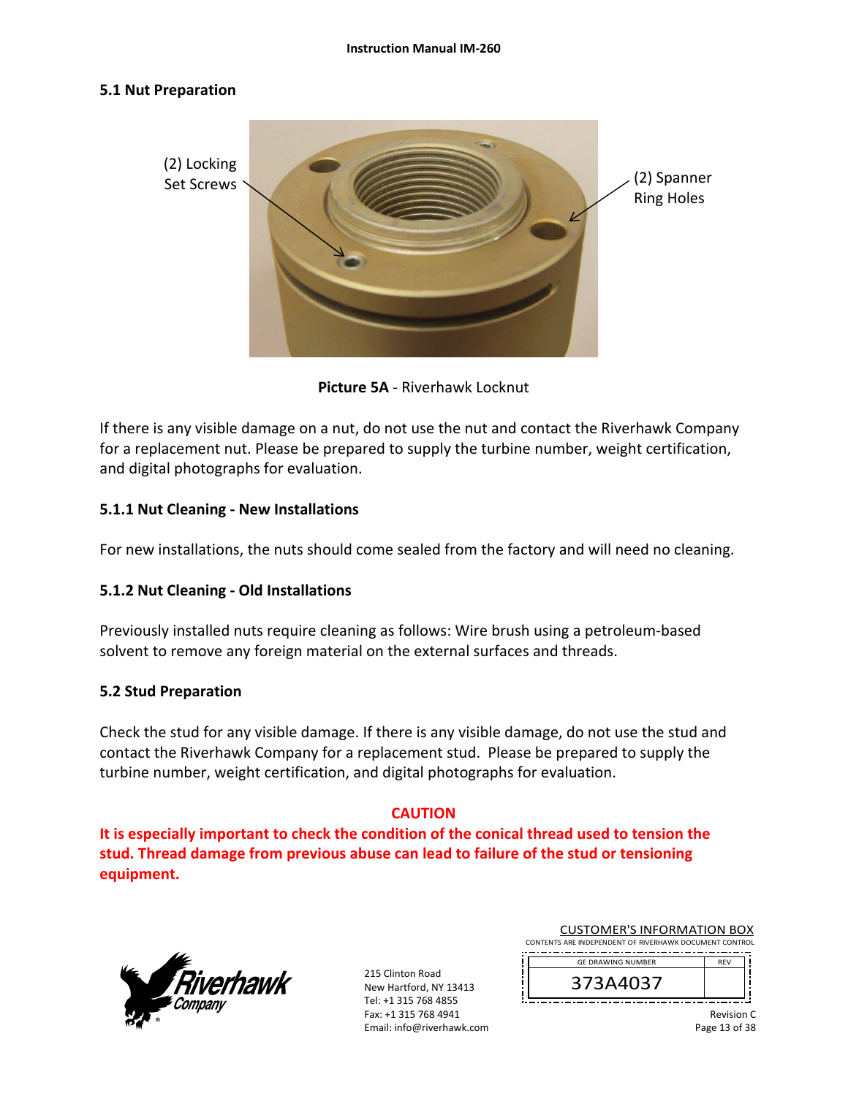#### **5.1 Nut Preparation**



**Picture 5A** ‐ Riverhawk Locknut

If there is any visible damage on a nut, do not use the nut and contact the Riverhawk Company for a replacement nut. Please be prepared to supply the turbine number, weight certification, and digital photographs for evaluation.

## **5.1.1 Nut Cleaning ‐ New Installations**

For new installations, the nuts should come sealed from the factory and will need no cleaning.

## **5.1.2 Nut Cleaning ‐ Old Installations**

Previously installed nuts require cleaning as follows: Wire brush using a petroleum‐based solvent to remove any foreign material on the external surfaces and threads.

#### **5.2 Stud Preparation**

Check the stud for any visible damage. If there is any visible damage, do not use the stud and contact the Riverhawk Company for a replacement stud. Please be prepared to supply the turbine number, weight certification, and digital photographs for evaluation.

## **CAUTION**

**It is especially important to check the condition of the conical thread used to tension the stud. Thread damage from previous abuse can lead to failure of the stud or tensioning equipment.**



215 Clinton Road New Hartford, NY 13413 Tel: +1 315 768 4855 Fax: +1 315 768 4941 Email: info@riverhawk.com

| <b>CUSTOMER'S INFORMATION BOX</b>                      |            |  |
|--------------------------------------------------------|------------|--|
| CONTENTS ARE INDEPENDENT OF RIVERHAWK DOCUMENT CONTROL |            |  |
| <b>GE DRAWING NUMBER</b>                               | <b>RFV</b> |  |
|                                                        |            |  |

373A4037

Revision C Page 13 of 38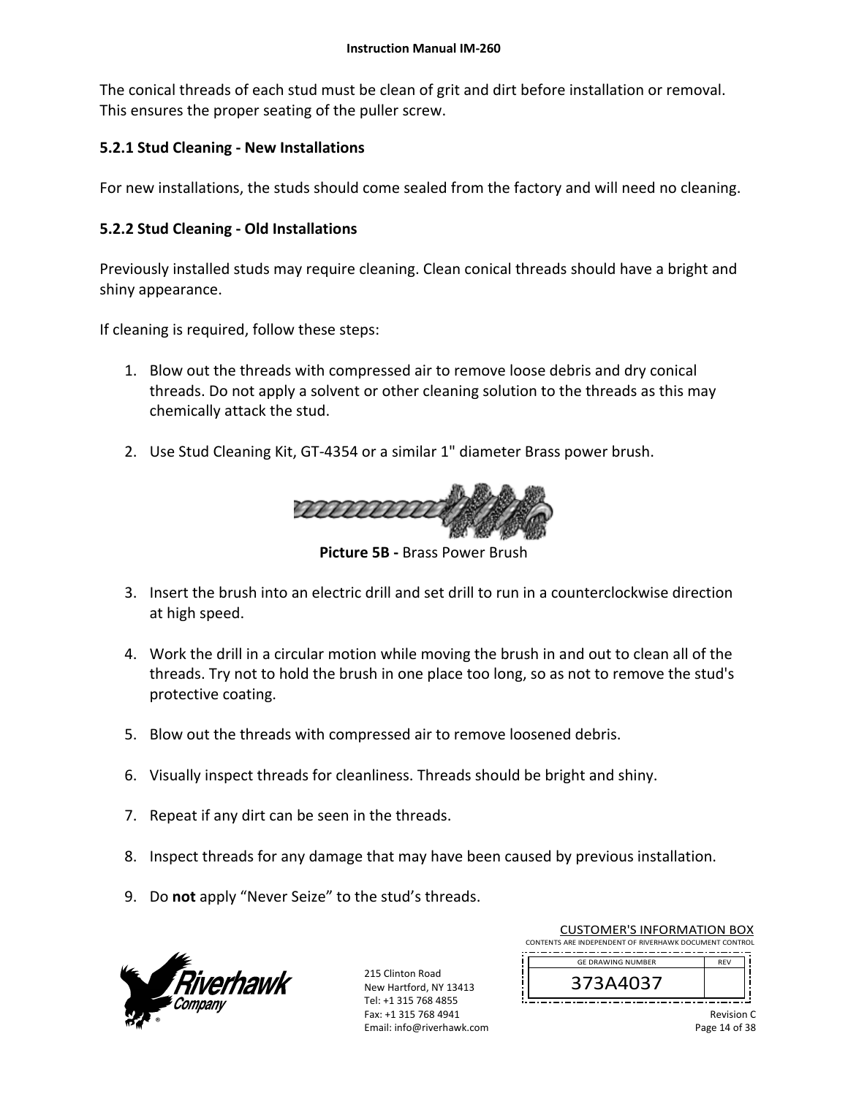The conical threads of each stud must be clean of grit and dirt before installation or removal. This ensures the proper seating of the puller screw.

## **5.2.1 Stud Cleaning ‐ New Installations**

For new installations, the studs should come sealed from the factory and will need no cleaning.

## **5.2.2 Stud Cleaning ‐ Old Installations**

Previously installed studs may require cleaning. Clean conical threads should have a bright and shiny appearance.

If cleaning is required, follow these steps:

- 1. Blow out the threads with compressed air to remove loose debris and dry conical threads. Do not apply a solvent or other cleaning solution to the threads as this may chemically attack the stud.
- 2. Use Stud Cleaning Kit, GT‐4354 or a similar 1" diameter Brass power brush.



**Picture 5B ‐** Brass Power Brush

- 3. Insert the brush into an electric drill and set drill to run in a counterclockwise direction at high speed.
- 4. Work the drill in a circular motion while moving the brush in and out to clean all of the threads. Try not to hold the brush in one place too long, so as not to remove the stud's protective coating.
- 5. Blow out the threads with compressed air to remove loosened debris.
- 6. Visually inspect threads for cleanliness. Threads should be bright and shiny.
- 7. Repeat if any dirt can be seen in the threads.
- 8. Inspect threads for any damage that may have been caused by previous installation.
- 9. Do **not** apply "Never Seize" to the stud's threads.



215 Clinton Road New Hartford, NY 13413 Tel: +1 315 768 4855 Fax: +1 315 768 4941 Email: info@riverhawk.com

| CONTENTS ARE INDEPENDENT OF RIVERHAWK DOCUMENT CONTROL |            |
|--------------------------------------------------------|------------|
|                                                        |            |
| <b>GE DRAWING NUMBER</b>                               | <b>RFV</b> |
| 373A4037                                               |            |
|                                                        |            |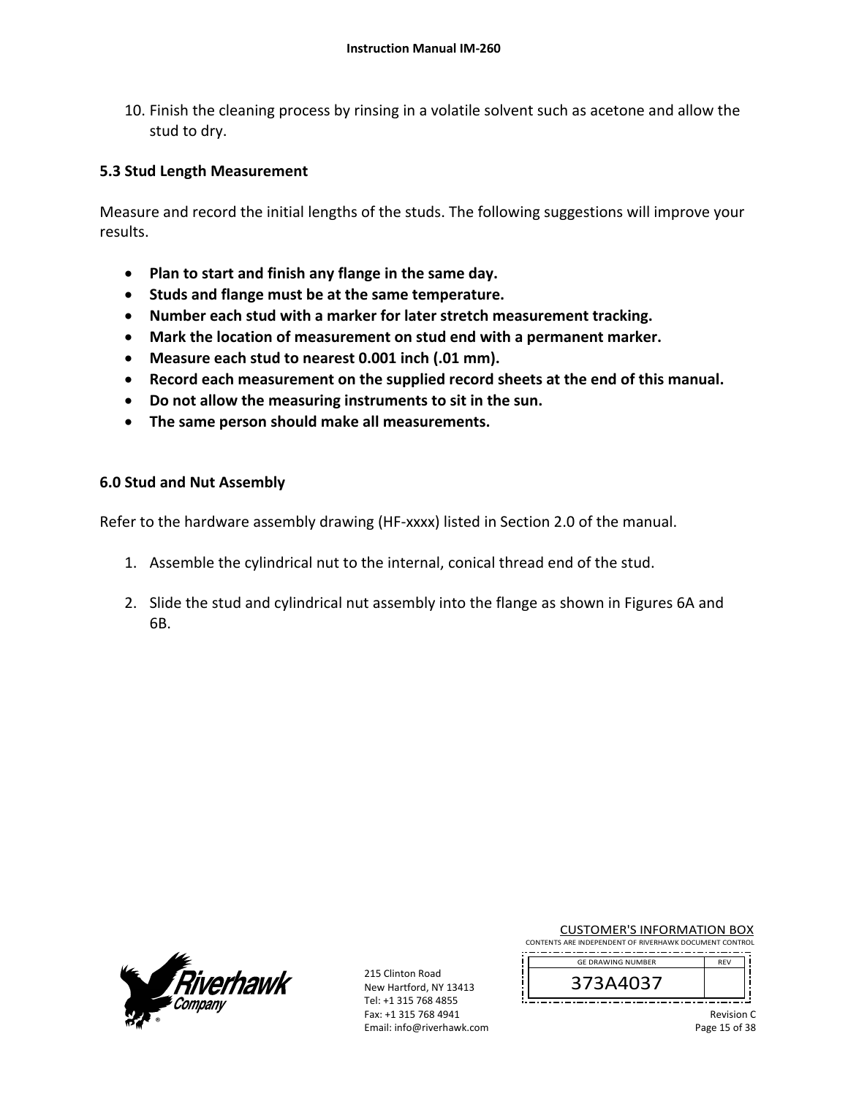10. Finish the cleaning process by rinsing in a volatile solvent such as acetone and allow the stud to dry.

## **5.3 Stud Length Measurement**

Measure and record the initial lengths of the studs. The following suggestions will improve your results.

- **Plan to start and finish any flange in the same day.**
- **Studs and flange must be at the same temperature.**
- **Number each stud with a marker for later stretch measurement tracking.**
- **Mark the location of measurement on stud end with a permanent marker.**
- **Measure each stud to nearest 0.001 inch (.01 mm).**
- **Record each measurement on the supplied record sheets at the end of this manual.**
- **Do not allow the measuring instruments to sit in the sun.**
- **The same person should make all measurements.**

#### **6.0 Stud and Nut Assembly**

Refer to the hardware assembly drawing (HF‐xxxx) listed in Section 2.0 of the manual.

- 1. Assemble the cylindrical nut to the internal, conical thread end of the stud.
- 2. Slide the stud and cylindrical nut assembly into the flange as shown in Figures 6A and **6B.** *CONTEXT CONTEXT CONTEXT CONTEXT CONTEXT*



215 Clinton Road New Hartford, NY 13413 Tel: +1 315 768 4855 Fax: +1 315 768 4941 Email: info@riverhawk.com

| <b>CUSTOMER'S INFORMATION BOX</b> |  |
|-----------------------------------|--|
|                                   |  |

CONTENTS ARE INDEPENDENT OF RIVERHAWK DOCUMENT CONTROL --------------------------------------



Revision C Page 15 of 38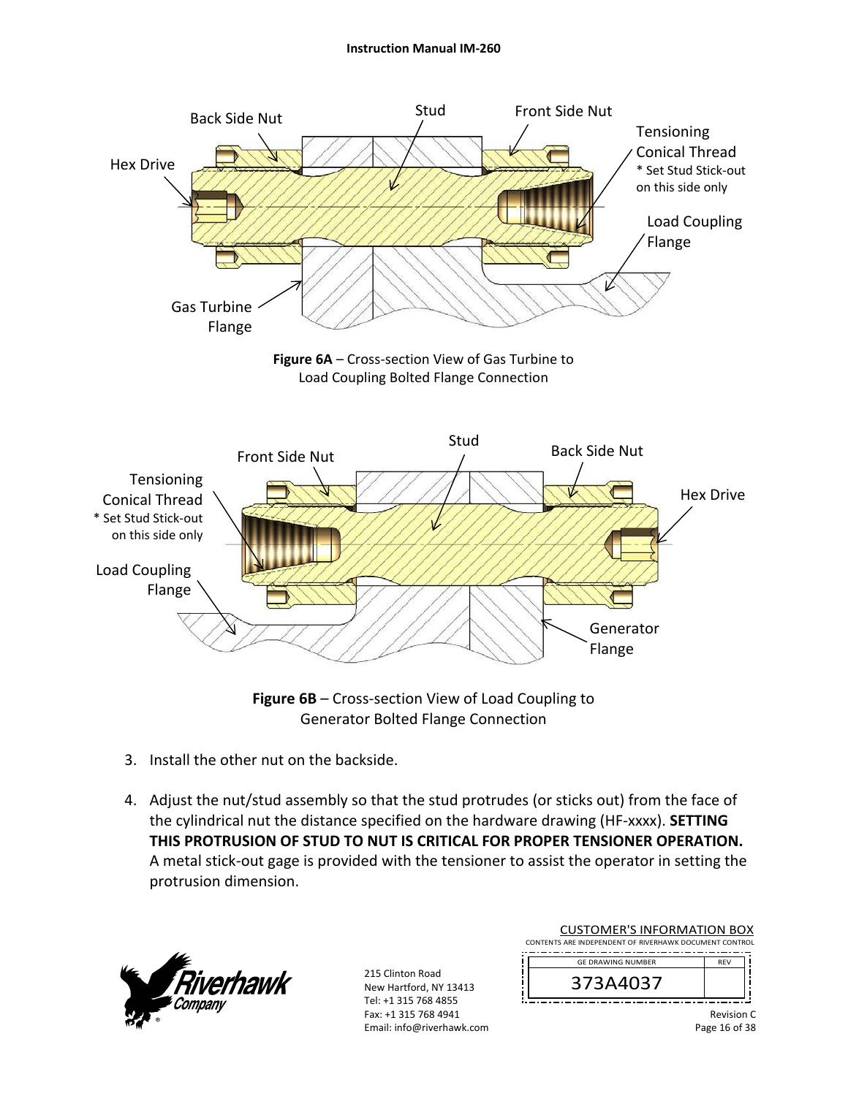#### **Instruction Manual IM‐260**



**Figure 6B** – Cross‐section View of Load Coupling to Generator Bolted Flange Connection

- 3. Install the other nut on the backside.
- 4. Adjust the nut/stud assembly so that the stud protrudes (or sticks out) from the face of the cylindrical nut the distance specified on the hardware drawing (HF‐xxxx). **SETTING THIS PROTRUSION OF STUD TO NUT IS CRITICAL FOR PROPER TENSIONER OPERATION.** A metal stick‐out gage is provided with the tensioner to assist the operator in setting the protrusion dimension.



215 Clinton Road New Hartford, NY 13413 Tel: +1 315 768 4855 Fax: +1 315 768 4941 Email: info@riverhawk.com

| CUSTOMER S INFORMATION BOX                             |            |  |
|--------------------------------------------------------|------------|--|
| CONTENTS ARE INDEPENDENT OF RIVERHAWK DOCUMENT CONTROL |            |  |
|                                                        |            |  |
| <b>GE DRAWING NUMBER</b>                               | <b>RFV</b> |  |
|                                                        |            |  |
| 373A4037                                               |            |  |
|                                                        |            |  |
|                                                        |            |  |
|                                                        | Revision   |  |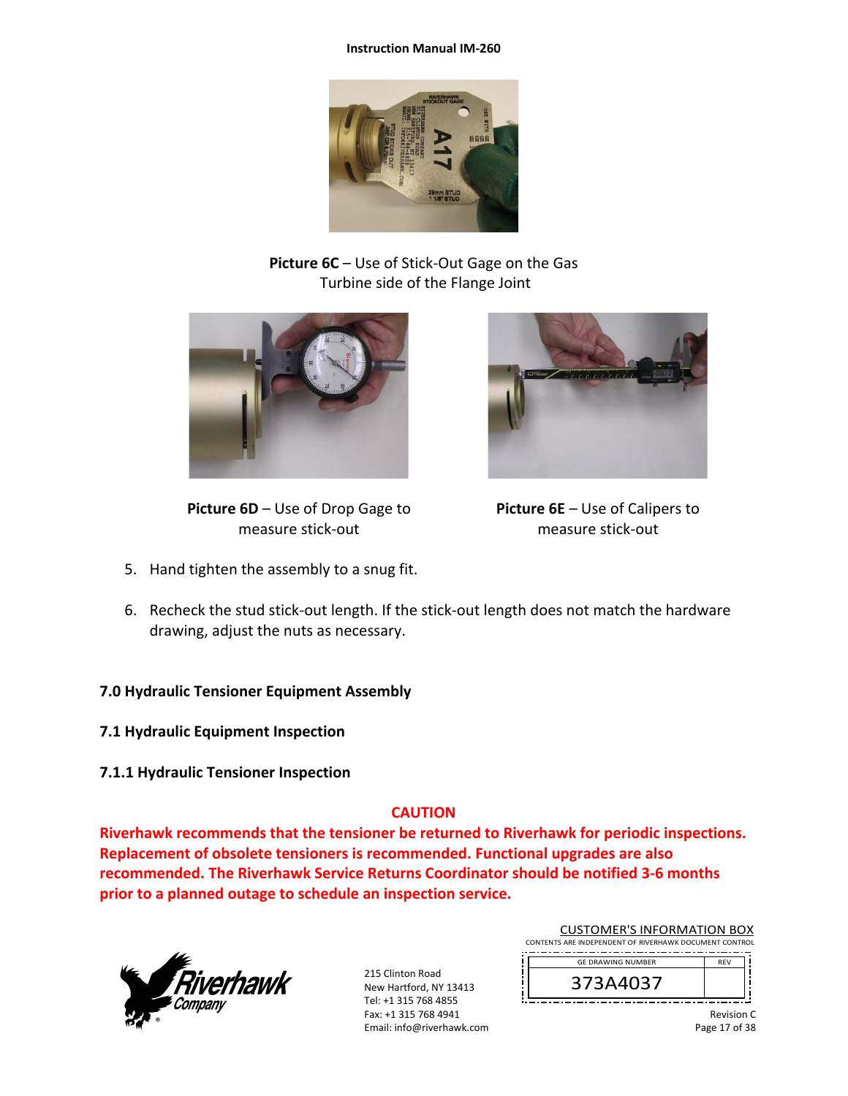#### **Instruction Manual IM‐260**



**Picture 6C** – Use of Stick‐Out Gage on the Gas Turbine side of the Flange Joint



**Picture 6D** – Use of Drop Gage to measure stick‐out

5. Hand tighten the assembly to a snug fit.



**Picture 6E** – Use of Calipers to measure stick‐out

- 6. Recheck the stud stick‐out length. If the stick‐out length does not match the hardware drawing, adjust the nuts as necessary.
- **7.0 Hydraulic Tensioner Equipment Assembly**
- **7.1 Hydraulic Equipment Inspection**
- **7.1.1 Hydraulic Tensioner Inspection**

## **CAUTION**

**Riverhawk recommends that the tensioner be returned to Riverhawk for periodic inspections. Replacement of obsolete tensioners is recommended. Functional upgrades are also recommended. The Riverhawk Service Returns Coordinator should be notified 3‐6 months prior to a planned outage to schedule an inspection service.** 



215 Clinton Road New Hartford, NY 13413 Tel: +1 315 768 4855 Fax: +1 315 768 4941 Email: info@riverhawk.com

| <b>CUSTOMER'S INFORMATION BOX</b>                      |            |  |
|--------------------------------------------------------|------------|--|
| CONTENTS ARE INDEPENDENT OF RIVERHAWK DOCUMENT CONTROL |            |  |
| <b>GE DRAWING NUMBER</b>                               | <b>RFV</b> |  |
|                                                        |            |  |

Revision C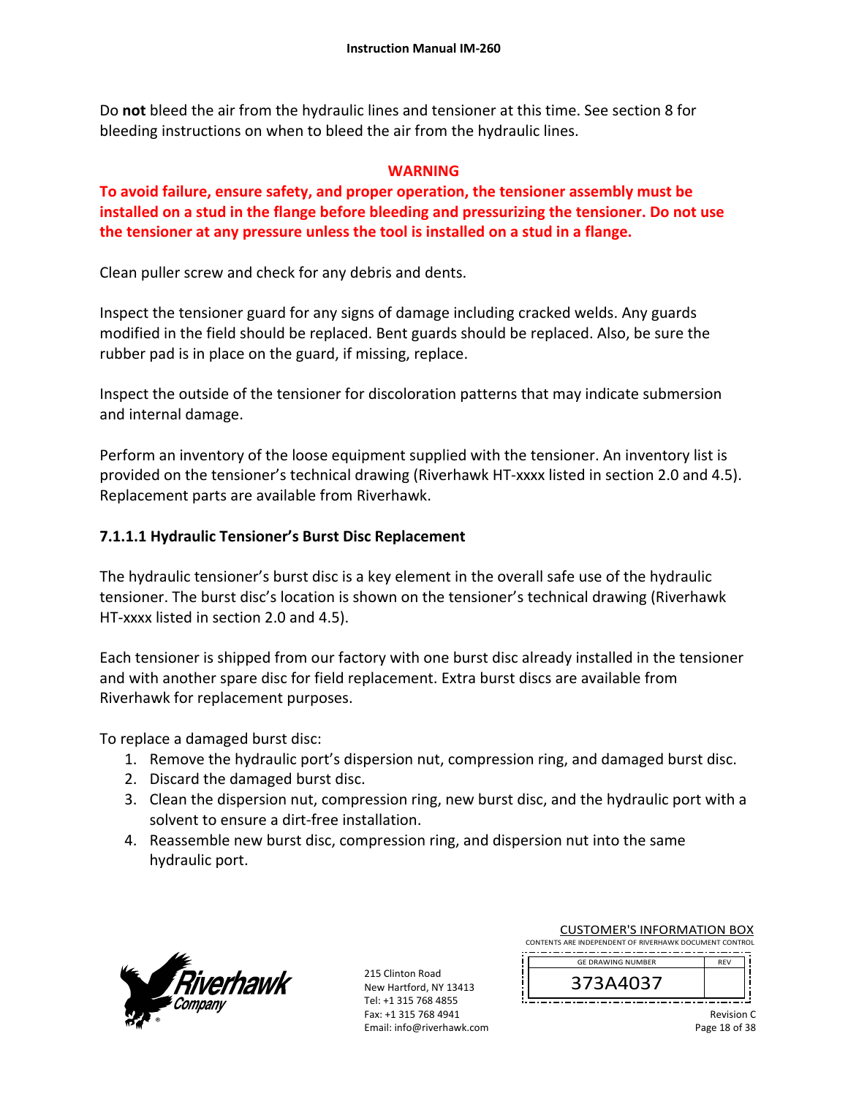Do **not** bleed the air from the hydraulic lines and tensioner at this time. See section 8 for bleeding instructions on when to bleed the air from the hydraulic lines.

## **WARNING**

**To avoid failure, ensure safety, and proper operation, the tensioner assembly must be installed on a stud in the flange before bleeding and pressurizing the tensioner. Do not use the tensioner at any pressure unless the tool is installed on a stud in a flange.** 

Clean puller screw and check for any debris and dents.

Inspect the tensioner guard for any signs of damage including cracked welds. Any guards modified in the field should be replaced. Bent guards should be replaced. Also, be sure the rubber pad is in place on the guard, if missing, replace.

Inspect the outside of the tensioner for discoloration patterns that may indicate submersion and internal damage.

Perform an inventory of the loose equipment supplied with the tensioner. An inventory list is provided on the tensioner's technical drawing (Riverhawk HT‐xxxx listed in section 2.0 and 4.5). Replacement parts are available from Riverhawk.

## **7.1.1.1 Hydraulic Tensioner's Burst Disc Replacement**

The hydraulic tensioner's burst disc is a key element in the overall safe use of the hydraulic tensioner. The burst disc's location is shown on the tensioner's technical drawing (Riverhawk HT-xxxx listed in section 2.0 and 4.5).

Each tensioner is shipped from our factory with one burst disc already installed in the tensioner and with another spare disc for field replacement. Extra burst discs are available from Riverhawk for replacement purposes.

To replace a damaged burst disc:

- 1. Remove the hydraulic port's dispersion nut, compression ring, and damaged burst disc.
- 2. Discard the damaged burst disc.
- 3. Clean the dispersion nut, compression ring, new burst disc, and the hydraulic port with a solvent to ensure a dirt‐free installation.
- 4. Reassemble new burst disc, compression ring, and dispersion nut into the same hydraulic port.



215 Clinton Road New Hartford, NY 13413 Tel: +1 315 768 4855 Fax: +1 315 768 4941 Email: info@riverhawk.com

| CONTENTS ARE INDEPENDENT OF RIVERHAWK DOCUMENT CONTROL |            |  |  |
|--------------------------------------------------------|------------|--|--|
| <b>GE DRAWING NUMBER</b>                               | <b>RFV</b> |  |  |
| 373A4037                                               |            |  |  |
|                                                        |            |  |  |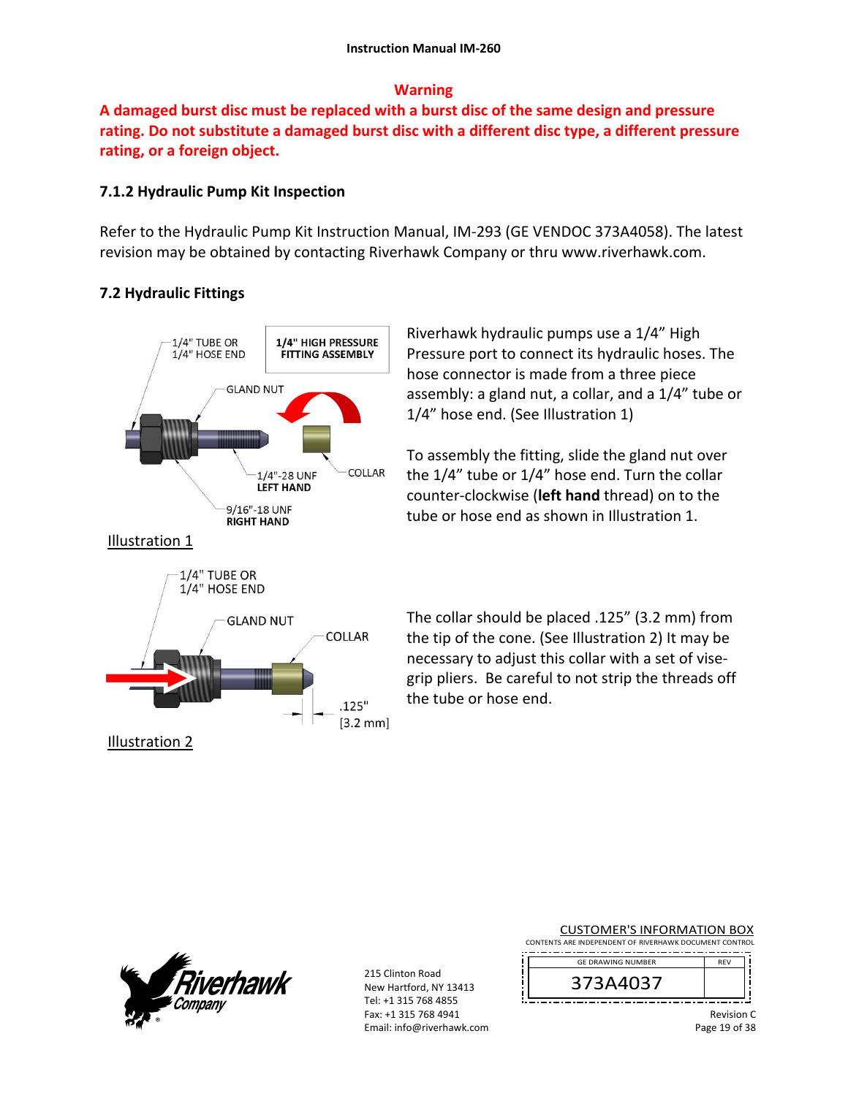## **Warning**

**A damaged burst disc must be replaced with a burst disc of the same design and pressure rating. Do not substitute a damaged burst disc with a different disc type, a different pressure rating, or a foreign object.**

## **7.1.2 Hydraulic Pump Kit Inspection**

Refer to the Hydraulic Pump Kit Instruction Manual, IM‐293 (GE VENDOC 373A4058). The latest revision may be obtained by contacting Riverhawk Company or thru www.riverhawk.com.

## **7.2 Hydraulic Fittings**



Riverhawk hydraulic pumps use a 1/4" High Pressure port to connect its hydraulic hoses. The hose connector is made from a three piece assembly: a gland nut, a collar, and a 1/4" tube or 1/4" hose end. (See Illustration 1)

To assembly the fitting, slide the gland nut over the 1/4" tube or 1/4" hose end. Turn the collar counter‐clockwise (**left hand** thread) on to the tube or hose end as shown in Illustration 1.

The collar should be placed .125" (3.2 mm) from the tip of the cone. (See Illustration 2) It may be necessary to adjust this collar with a set of vise‐ grip pliers. Be careful to not strip the threads off the tube or hose end.



215 Clinton Road New Hartford, NY 13413 Tel: +1 315 768 4855 Fax: +1 315 768 4941 Email: info@riverhawk.com

| <b>CUSTOMER'S INFORMATION BOX</b> |
|-----------------------------------|
|-----------------------------------|

CONTENTS ARE INDEPENDENT OF RIVERHAWK DOCUMENT CONTROL --------------------------------------



Revision C Page 19 of 38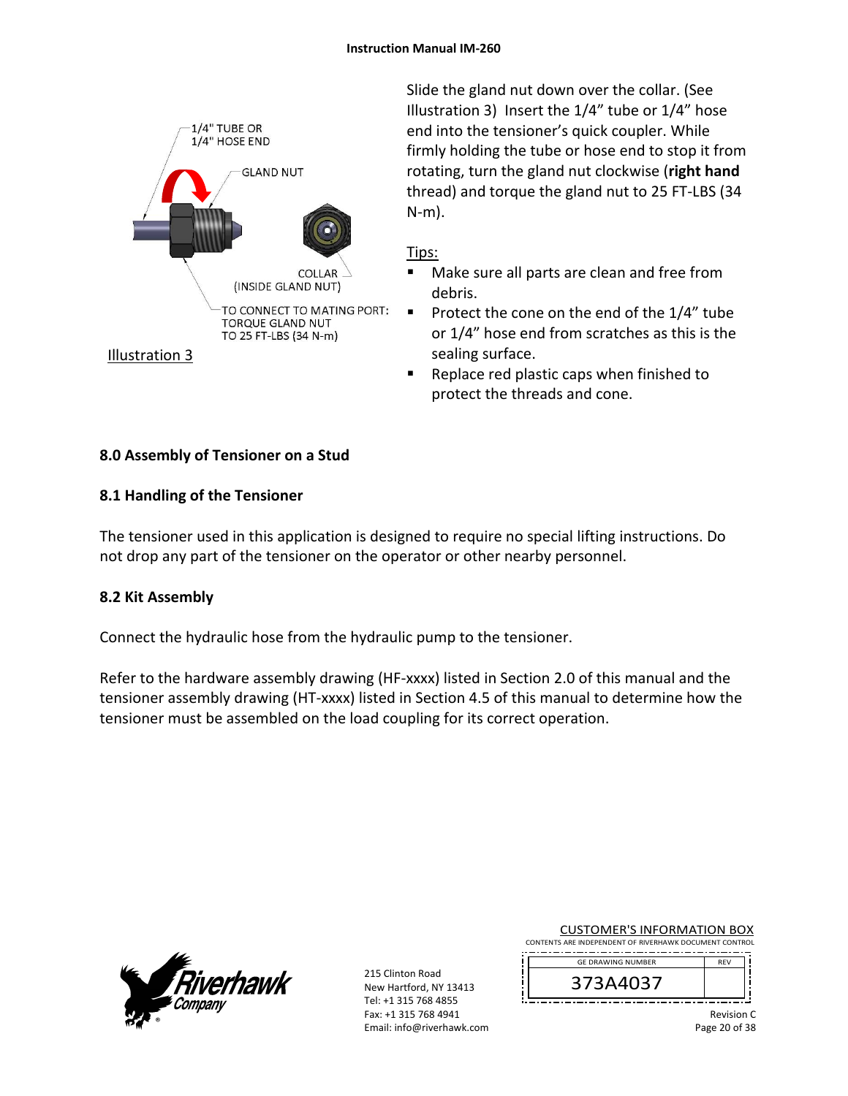

Slide the gland nut down over the collar. (See Illustration 3) Insert the 1/4" tube or 1/4" hose end into the tensioner's quick coupler. While firmly holding the tube or hose end to stop it from rotating, turn the gland nut clockwise (**right hand** thread) and torque the gland nut to 25 FT‐LBS (34 N‐m).

## Tips:

- Make sure all parts are clean and free from debris.
- Protect the cone on the end of the  $1/4$ " tube or 1/4" hose end from scratches as this is the sealing surface.
- Replace red plastic caps when finished to protect the threads and cone.

## **8.0 Assembly of Tensioner on a Stud**

## **8.1 Handling of the Tensioner**

The tensioner used in this application is designed to require no special lifting instructions. Do not drop any part of the tensioner on the operator or other nearby personnel.

## **8.2 Kit Assembly**

Connect the hydraulic hose from the hydraulic pump to the tensioner.

Refer to the hardware assembly drawing (HF-xxxx) listed in Section 2.0 of this manual and the tensioner assembly drawing (HT‐xxxx) listed in Section 4.5 of this manual to determine how the tensioner must be assembled on the load coupling for its correct operation.



215 Clinton Road New Hartford, NY 13413 Tel: +1 315 768 4855 Fax: +1 315 768 4941 Email: info@riverhawk.com CUSTOMER'S INFORMATION BOX

CONTENTS ARE INDEPENDENT OF RIVERHAWK DOCUMENT CONTROL GE DRAWING NUMBER



Revision C Page 20 of 38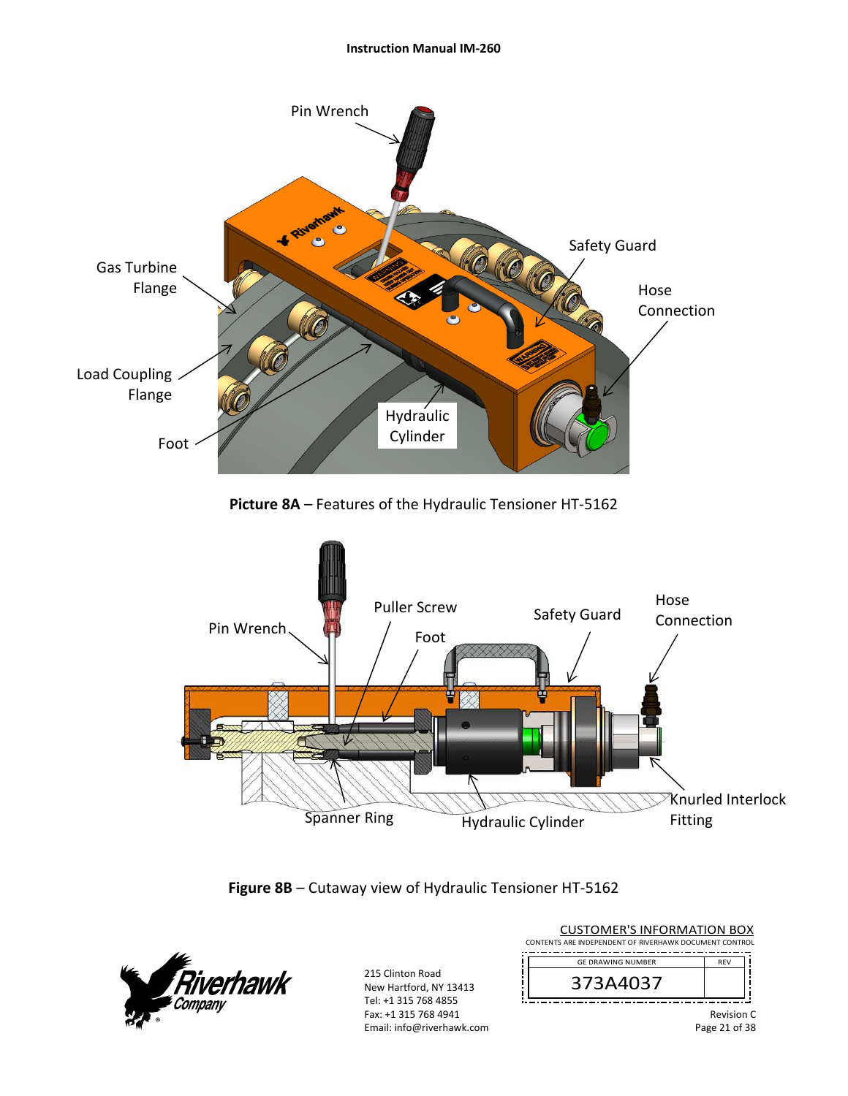#### **Instruction Manual IM‐260**







| <b>CUSTOMER'S INFORMATION BOX</b>                      |                          |                   |  |  |
|--------------------------------------------------------|--------------------------|-------------------|--|--|
| CONTENTS ARE INDEPENDENT OF RIVERHAWK DOCUMENT CONTROL |                          |                   |  |  |
|                                                        | <b>GE DRAWING NUMBER</b> | <b>RFV</b>        |  |  |
|                                                        | 373A4037                 |                   |  |  |
|                                                        |                          | <b>Revision C</b> |  |  |

Revision C Page 21 of 38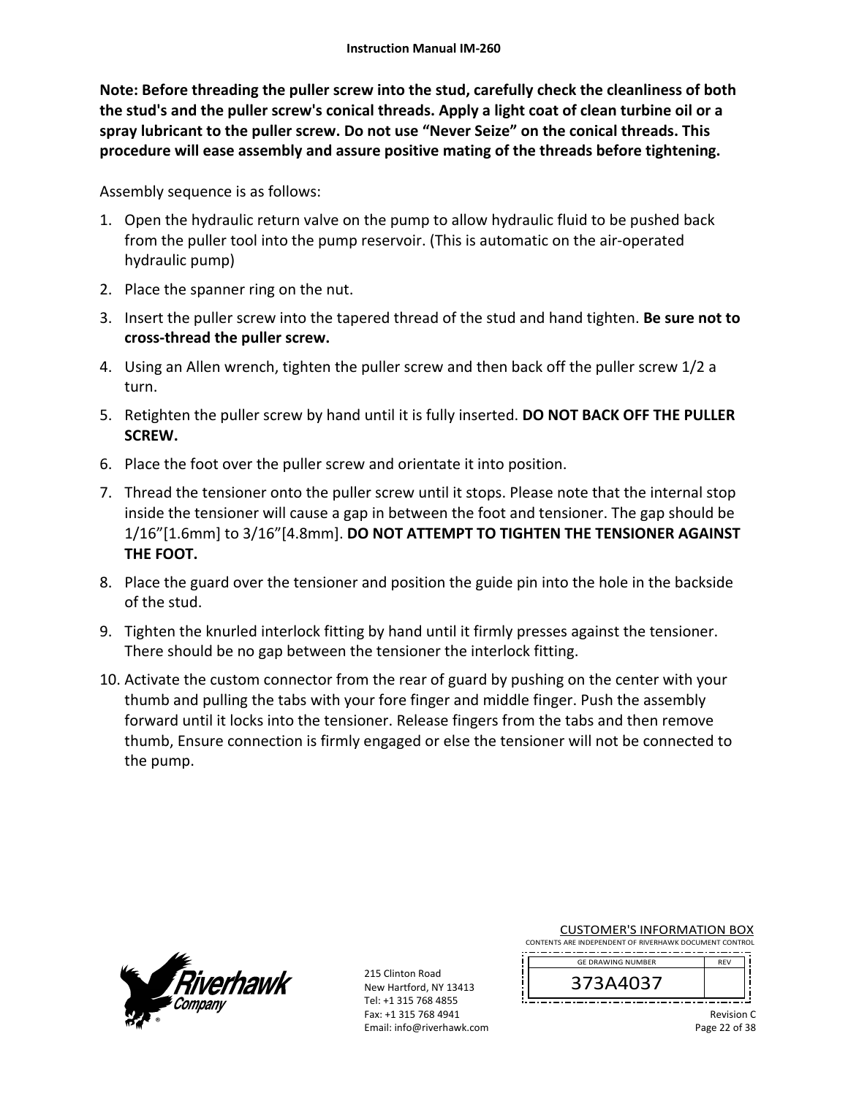**Note: Before threading the puller screw into the stud, carefully check the cleanliness of both the stud's and the puller screw's conical threads. Apply a light coat of clean turbine oil or a spray lubricant to the puller screw. Do not use "Never Seize" on the conical threads. This procedure will ease assembly and assure positive mating of the threads before tightening.** 

Assembly sequence is as follows:

- 1. Open the hydraulic return valve on the pump to allow hydraulic fluid to be pushed back from the puller tool into the pump reservoir. (This is automatic on the air‐operated hydraulic pump)
- 2. Place the spanner ring on the nut.
- 3. Insert the puller screw into the tapered thread of the stud and hand tighten. **Be sure not to cross‐thread the puller screw.**
- 4. Using an Allen wrench, tighten the puller screw and then back off the puller screw 1/2 a turn.
- 5. Retighten the puller screw by hand until it is fully inserted. **DO NOT BACK OFF THE PULLER SCREW.**
- 6. Place the foot over the puller screw and orientate it into position.
- 7. Thread the tensioner onto the puller screw until it stops. Please note that the internal stop inside the tensioner will cause a gap in between the foot and tensioner. The gap should be 1/16"[1.6mm] to 3/16"[4.8mm]. **DO NOT ATTEMPT TO TIGHTEN THE TENSIONER AGAINST THE FOOT.**
- 8. Place the guard over the tensioner and position the guide pin into the hole in the backside of the stud.
- 9. Tighten the knurled interlock fitting by hand until it firmly presses against the tensioner. There should be no gap between the tensioner the interlock fitting.
- 10. Activate the custom connector from the rear of guard by pushing on the center with your thumb and pulling the tabs with your fore finger and middle finger. Push the assembly forward until it locks into the tensioner. Release fingers from the tabs and then remove thumb, Ensure connection is firmly engaged or else the tensioner will not be connected to the pump.



215 Clinton Road New Hartford, NY 13413 Tel: +1 315 768 4855 Fax: +1 315 768 4941 Email: info@riverhawk.com

| <b>CUSTOMER'S INFORMATION BOX</b>                      |  |  |
|--------------------------------------------------------|--|--|
| CONTENTS ARE INDEPENDENT OF RIVERHAWK DOCUMENT CONTROL |  |  |

--------------------------------------REV GE DRAWING NUMBER



Revision C Page 22 of 38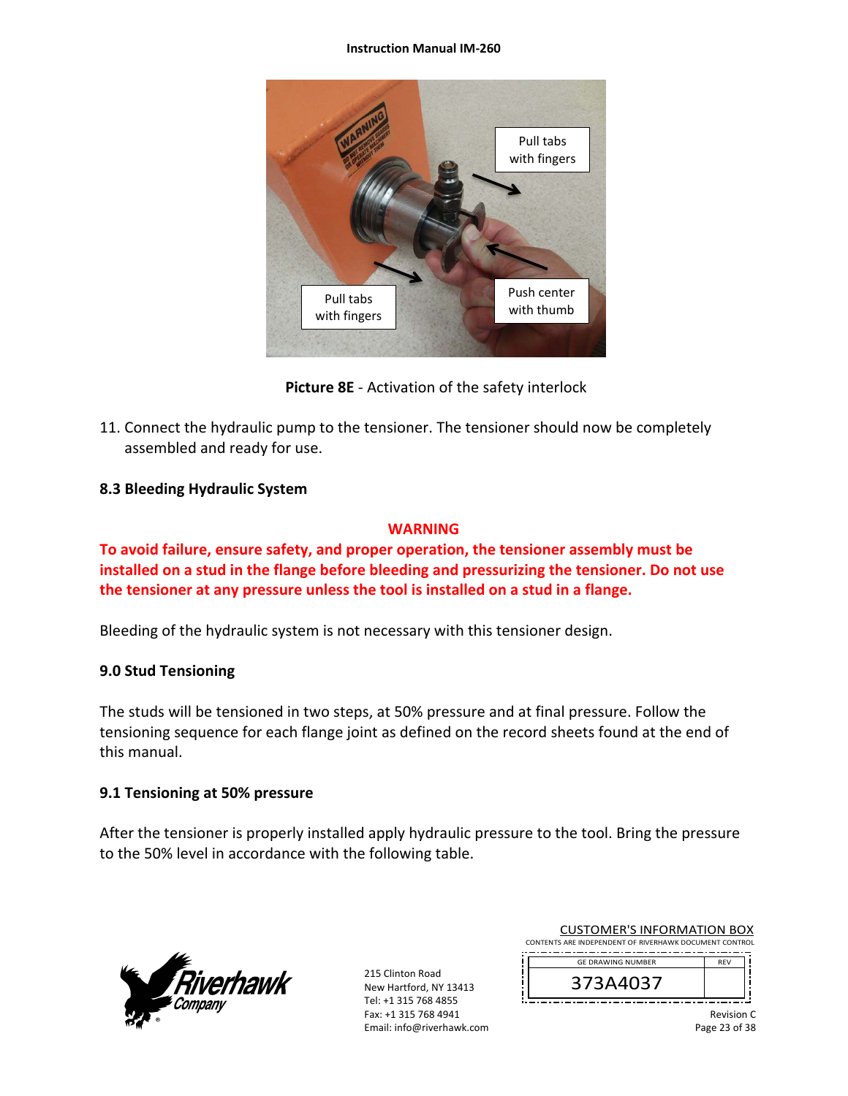#### **Instruction Manual IM‐260**



**Picture 8E** ‐ Activation of the safety interlock

11. Connect the hydraulic pump to the tensioner. The tensioner should now be completely assembled and ready for use.

## **8.3 Bleeding Hydraulic System**

## **WARNING**

**To avoid failure, ensure safety, and proper operation, the tensioner assembly must be installed on a stud in the flange before bleeding and pressurizing the tensioner. Do not use the tensioner at any pressure unless the tool is installed on a stud in a flange.** 

Bleeding of the hydraulic system is not necessary with this tensioner design.

## **9.0 Stud Tensioning**

The studs will be tensioned in two steps, at 50% pressure and at final pressure. Follow the tensioning sequence for each flange joint as defined on the record sheets found at the end of this manual.

## **9.1 Tensioning at 50% pressure**

After the tensioner is properly installed apply hydraulic pressure to the tool. Bring the pressure to the 50% level in accordance with the following table.

![](_page_22_Picture_12.jpeg)

215 Clinton Road New Hartford, NY 13413 Tel: +1 315 768 4855 Fax: +1 315 768 4941 Email: info@riverhawk.com

| 373A4037                                               |            |
|--------------------------------------------------------|------------|
| <b>GE DRAWING NUMBER</b>                               | <b>RFV</b> |
| CONTENTS ARE INDEPENDENT OF RIVERHAWK DOCUMENT CONTROL |            |

CUSTOMER'S INFORMATION BOX

Revision C Page 23 of 38

י נ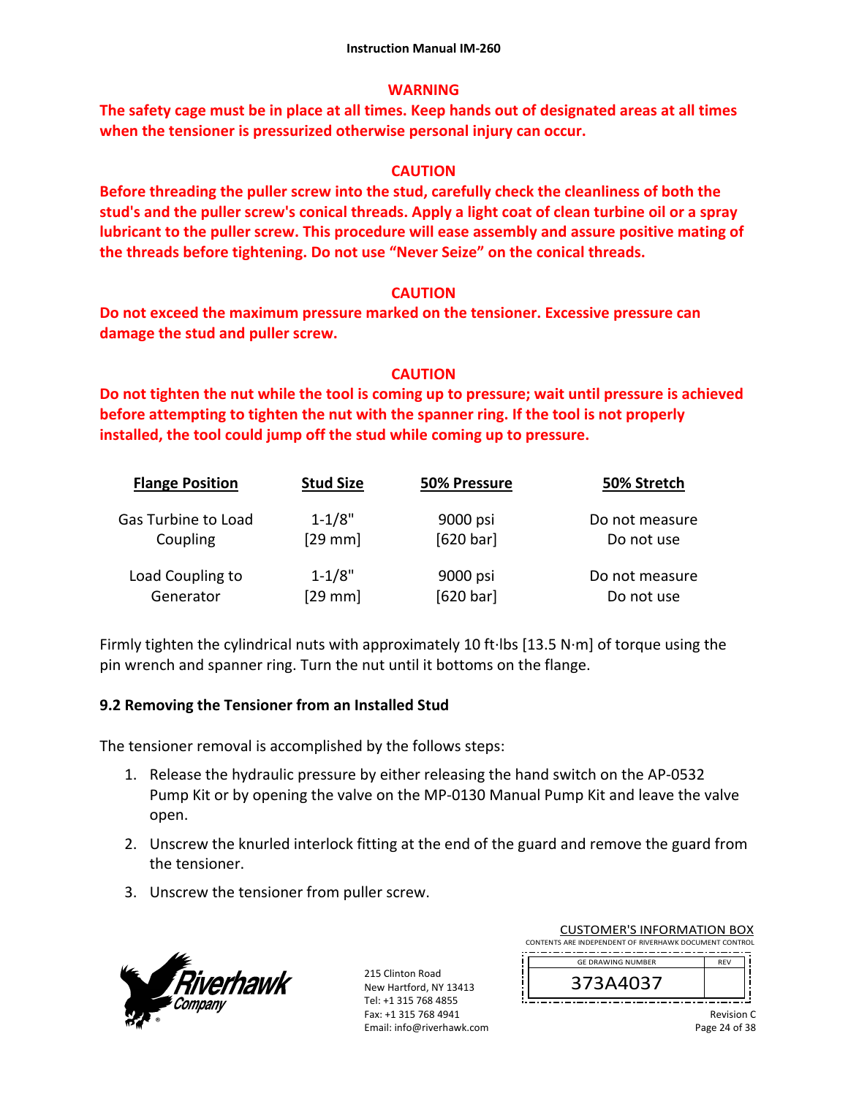## **WARNING**

**The safety cage must be in place at all times. Keep hands out of designated areas at all times when the tensioner is pressurized otherwise personal injury can occur.** 

## **CAUTION**

**Before threading the puller screw into the stud, carefully check the cleanliness of both the stud's and the puller screw's conical threads. Apply a light coat of clean turbine oil or a spray lubricant to the puller screw. This procedure will ease assembly and assure positive mating of the threads before tightening. Do not use "Never Seize" on the conical threads.** 

## **CAUTION**

**Do not exceed the maximum pressure marked on the tensioner. Excessive pressure can damage the stud and puller screw.** 

## **CAUTION**

**Do not tighten the nut while the tool is coming up to pressure; wait until pressure is achieved before attempting to tighten the nut with the spanner ring. If the tool is not properly installed, the tool could jump off the stud while coming up to pressure.** 

| <b>Flange Position</b> | <b>Stud Size</b> | 50% Pressure | 50% Stretch    |
|------------------------|------------------|--------------|----------------|
| Gas Turbine to Load    | $1 - 1/8"$       | 9000 psi     | Do not measure |
| Coupling               | $[29$ mm]        | [620 bar]    | Do not use     |
| Load Coupling to       | $1 - 1/8"$       | 9000 psi     | Do not measure |
| Generator              | [29 mm]          | [620 bar]    | Do not use     |

Firmly tighten the cylindrical nuts with approximately 10 ft∙lbs [13.5 N∙m] of torque using the pin wrench and spanner ring. Turn the nut until it bottoms on the flange.

## **9.2 Removing the Tensioner from an Installed Stud**

The tensioner removal is accomplished by the follows steps:

- 1. Release the hydraulic pressure by either releasing the hand switch on the AP‐0532 Pump Kit or by opening the valve on the MP‐0130 Manual Pump Kit and leave the valve open.
- 2. Unscrew the knurled interlock fitting at the end of the guard and remove the guard from the tensioner.
- 3. Unscrew the tensioner from puller screw.

![](_page_23_Picture_16.jpeg)

215 Clinton Road New Hartford, NY 13413 Tel: +1 315 768 4855 Fax: +1 315 768 4941 Email: info@riverhawk.com

| COJI UNILINJINI UNIVIATION DOM                         |               |  |
|--------------------------------------------------------|---------------|--|
| CONTENTS ARE INDEPENDENT OF RIVERHAWK DOCUMENT CONTROL |               |  |
|                                                        |               |  |
| <b>GE DRAWING NUMBER</b>                               | <b>RFV</b>    |  |
|                                                        |               |  |
| 373A4037                                               |               |  |
|                                                        |               |  |
|                                                        |               |  |
|                                                        | $\sim$ $\sim$ |  |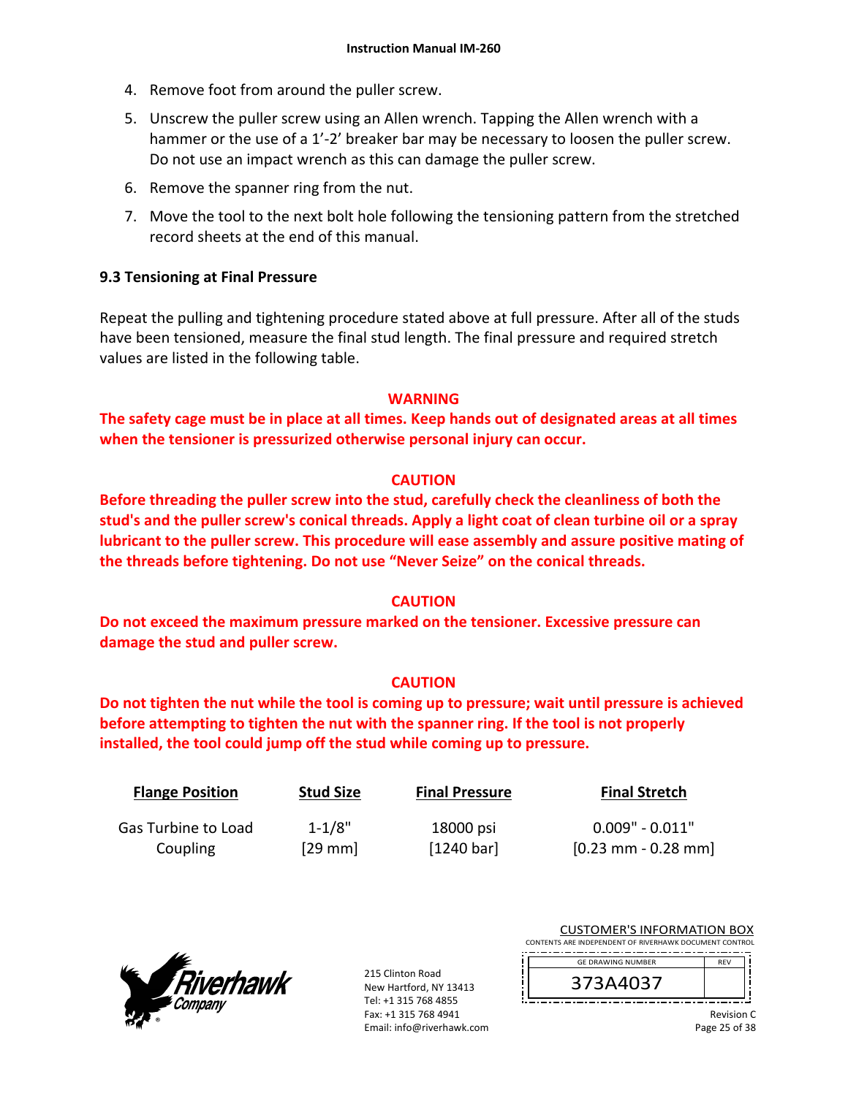- 4. Remove foot from around the puller screw.
- 5. Unscrew the puller screw using an Allen wrench. Tapping the Allen wrench with a hammer or the use of a 1'-2' breaker bar may be necessary to loosen the puller screw. Do not use an impact wrench as this can damage the puller screw.
- 6. Remove the spanner ring from the nut.
- 7. Move the tool to the next bolt hole following the tensioning pattern from the stretched record sheets at the end of this manual.

## **9.3 Tensioning at Final Pressure**

Repeat the pulling and tightening procedure stated above at full pressure. After all of the studs have been tensioned, measure the final stud length. The final pressure and required stretch values are listed in the following table.

## **WARNING**

**The safety cage must be in place at all times. Keep hands out of designated areas at all times when the tensioner is pressurized otherwise personal injury can occur.** 

## **CAUTION**

**Before threading the puller screw into the stud, carefully check the cleanliness of both the stud's and the puller screw's conical threads. Apply a light coat of clean turbine oil or a spray lubricant to the puller screw. This procedure will ease assembly and assure positive mating of the threads before tightening. Do not use "Never Seize" on the conical threads.** 

## **CAUTION**

**Do not exceed the maximum pressure marked on the tensioner. Excessive pressure can damage the stud and puller screw.** 

## **CAUTION**

**Do not tighten the nut while the tool is coming up to pressure; wait until pressure is achieved before attempting to tighten the nut with the spanner ring. If the tool is not properly installed, the tool could jump off the stud while coming up to pressure.**

| <b>Flange Position</b> | <b>Stud Size</b> | <b>Final Pressure</b> | <b>Final Stretch</b>                  |
|------------------------|------------------|-----------------------|---------------------------------------|
| Gas Turbine to Load    | $1 - 1/8"$       | 18000 psi             | $0.009" - 0.011"$                     |
| Coupling               | $[29$ mm         | [1240 bar]            | $[0.23 \text{ mm} - 0.28 \text{ mm}]$ |

![](_page_24_Picture_16.jpeg)

|                                                        | <b>CUSTOMER'S INFORMATION BOX</b> |                   |  |  |  |
|--------------------------------------------------------|-----------------------------------|-------------------|--|--|--|
| CONTENTS ARE INDEPENDENT OF RIVERHAWK DOCUMENT CONTROL |                                   |                   |  |  |  |
|                                                        | <b>GE DRAWING NUMBER</b>          | RFV               |  |  |  |
|                                                        | 373A4037                          |                   |  |  |  |
|                                                        |                                   | <b>Revision C</b> |  |  |  |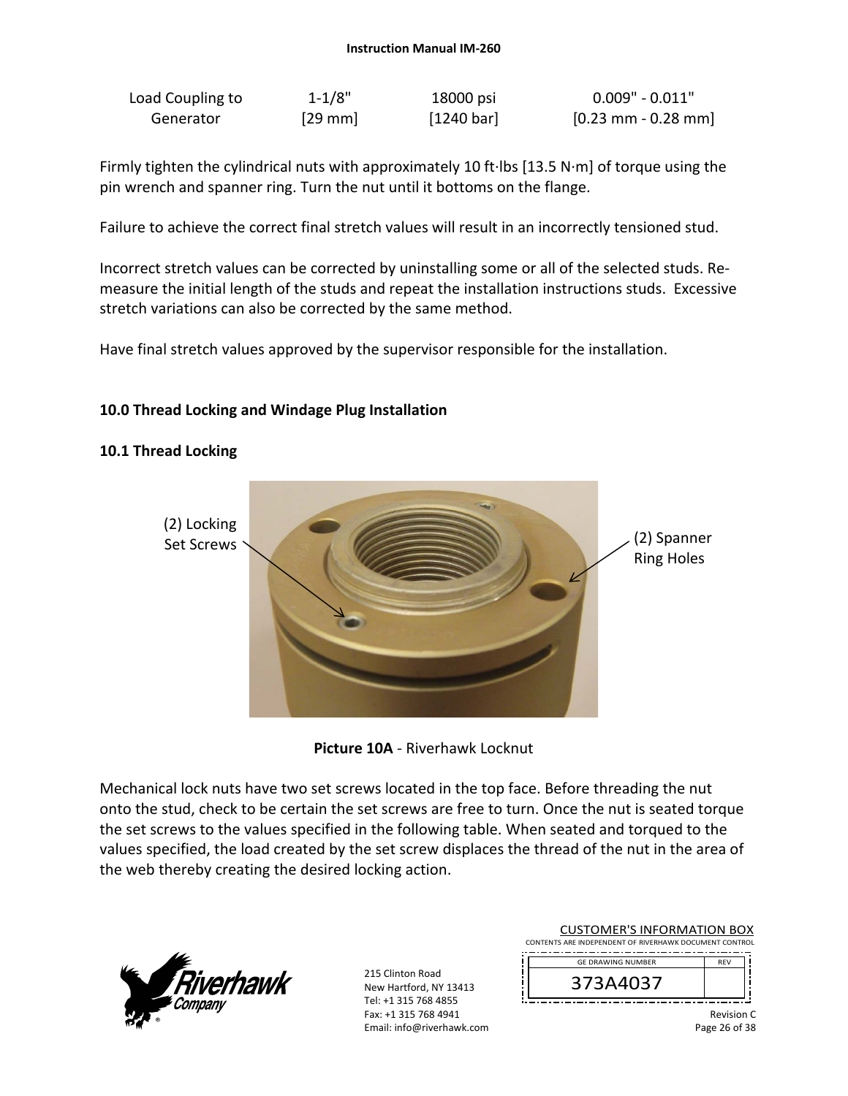| Load Coupling to | $1 - 1/8"$ | 18000 psi  | $0.009"$ - $0.011"$                   |
|------------------|------------|------------|---------------------------------------|
| Generator        | $[29$ mm   | [1240 bar] | $[0.23 \text{ mm} - 0.28 \text{ mm}]$ |

Firmly tighten the cylindrical nuts with approximately 10 ft∙lbs [13.5 N∙m] of torque using the pin wrench and spanner ring. Turn the nut until it bottoms on the flange.

Failure to achieve the correct final stretch values will result in an incorrectly tensioned stud.

Incorrect stretch values can be corrected by uninstalling some or all of the selected studs. Re‐ measure the initial length of the studs and repeat the installation instructions studs. Excessive stretch variations can also be corrected by the same method.

Have final stretch values approved by the supervisor responsible for the installation.

## **10.0 Thread Locking and Windage Plug Installation**

## **10.1 Thread Locking**

![](_page_25_Picture_8.jpeg)

**Picture 10A** ‐ Riverhawk Locknut

Mechanical lock nuts have two set screws located in the top face. Before threading the nut onto the stud, check to be certain the set screws are free to turn. Once the nut is seated torque the set screws to the values specified in the following table. When seated and torqued to the values specified, the load created by the set screw displaces the thread of the nut in the area of the web thereby creating the desired locking action.

![](_page_25_Picture_11.jpeg)

| <b>CUSTOMER'S INFORMATION BOX</b><br>CONTENTS ARE INDEPENDENT OF RIVERHAWK DOCUMENT CONTROL |                   |  |
|---------------------------------------------------------------------------------------------|-------------------|--|
| <b>GE DRAWING NUMBER</b>                                                                    | <b>RFV</b>        |  |
| 373A4037                                                                                    |                   |  |
|                                                                                             | <b>Revision C</b> |  |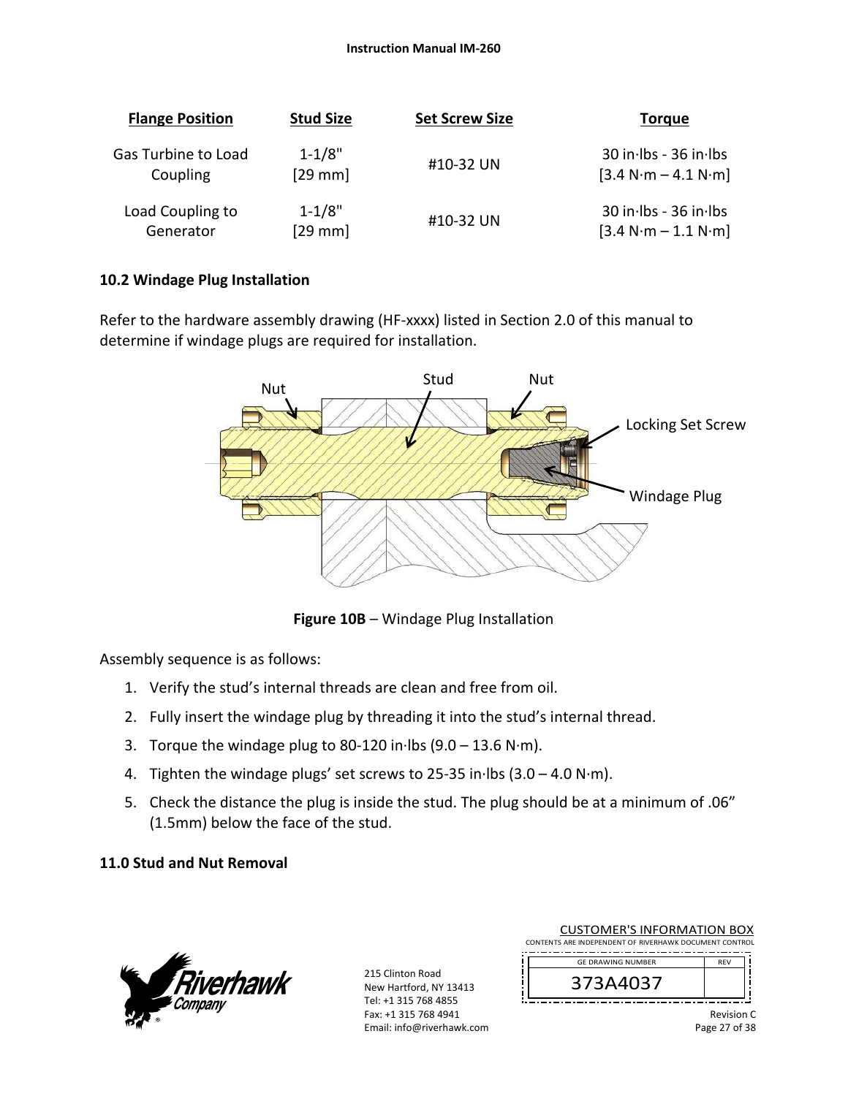| <b>Flange Position</b> | <b>Stud Size</b> | <b>Set Screw Size</b> | <b>Torque</b>             |
|------------------------|------------------|-----------------------|---------------------------|
| Gas Turbine to Load    | $1 - 1/8"$       | #10-32 UN             | $30$ in Ibs - $36$ in Ibs |
| Coupling               | $[29$ mm         |                       | $[3.4 N·m - 4.1 N·m]$     |
| Load Coupling to       | $1 - 1/8"$       | #10-32 UN             | $30$ in Ibs - $36$ in Ibs |
| Generator              | $[29$ mm]        |                       | $[3.4 N·m - 1.1 N·m]$     |

## **10.2 Windage Plug Installation**

Refer to the hardware assembly drawing (HF-xxxx) listed in Section 2.0 of this manual to determine if windage plugs are required for installation.

![](_page_26_Figure_4.jpeg)

**Figure 10B** – Windage Plug Installation

Assembly sequence is as follows:

- 1. Verify the stud's internal threads are clean and free from oil.
- 2. Fully insert the windage plug by threading it into the stud's internal thread.
- 3. Torque the windage plug to 80‐120 in∙lbs (9.0 13.6 N∙m).
- 4. Tighten the windage plugs' set screws to 25‐35 in∙lbs (3.0 4.0 N∙m).
- 5. Check the distance the plug is inside the stud. The plug should be at a minimum of .06" (1.5mm) below the face of the stud.

## **11.0 Stud and Nut Removal**

![](_page_26_Picture_13.jpeg)

| <b>CUSTOMER'S INFORMATION BOX</b><br>CONTENTS ARE INDEPENDENT OF RIVERHAWK DOCUMENT CONTROL |                   |  |
|---------------------------------------------------------------------------------------------|-------------------|--|
| <b>GF DRAWING NUMBER</b>                                                                    | <b>RFV</b>        |  |
| 373A4037                                                                                    |                   |  |
|                                                                                             | <b>Revision C</b> |  |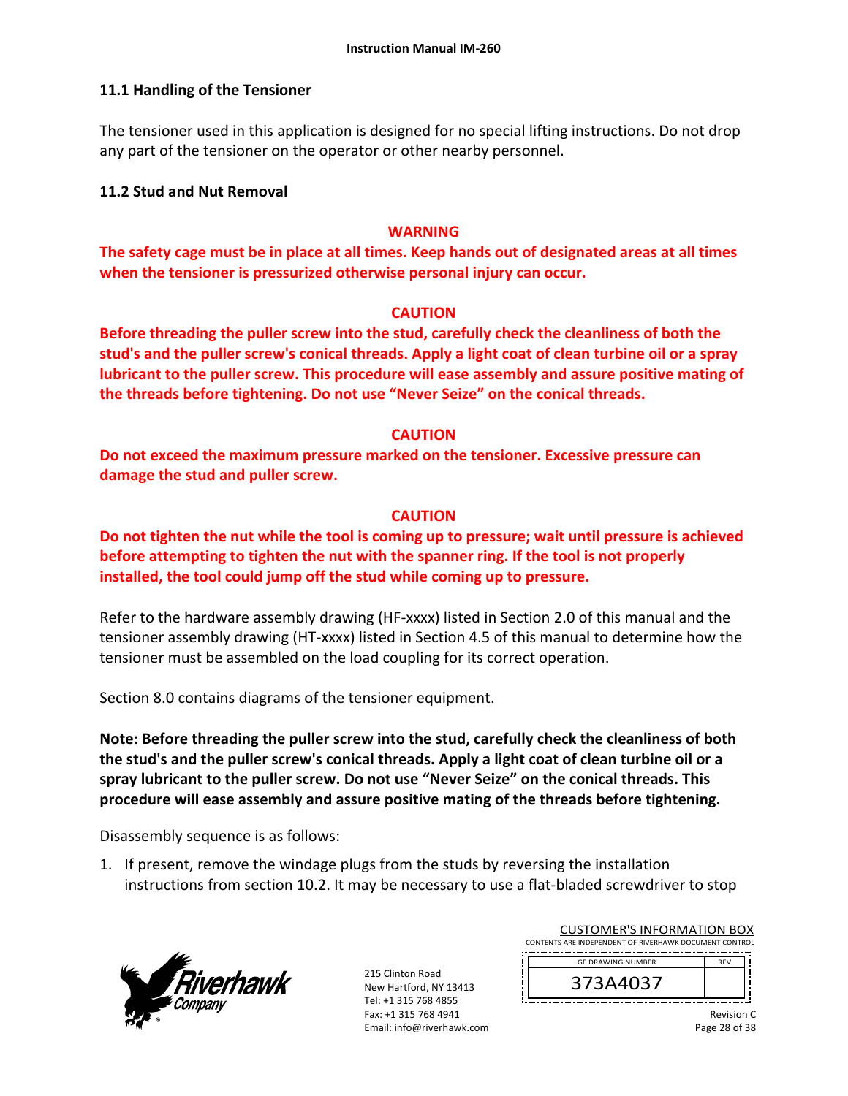## **11.1 Handling of the Tensioner**

The tensioner used in this application is designed for no special lifting instructions. Do not drop any part of the tensioner on the operator or other nearby personnel.

## **11.2 Stud and Nut Removal**

## **WARNING**

**The safety cage must be in place at all times. Keep hands out of designated areas at all times when the tensioner is pressurized otherwise personal injury can occur.** 

## **CAUTION**

**Before threading the puller screw into the stud, carefully check the cleanliness of both the stud's and the puller screw's conical threads. Apply a light coat of clean turbine oil or a spray lubricant to the puller screw. This procedure will ease assembly and assure positive mating of the threads before tightening. Do not use "Never Seize" on the conical threads.** 

## **CAUTION**

**Do not exceed the maximum pressure marked on the tensioner. Excessive pressure can damage the stud and puller screw.** 

## **CAUTION**

**Do not tighten the nut while the tool is coming up to pressure; wait until pressure is achieved before attempting to tighten the nut with the spanner ring. If the tool is not properly installed, the tool could jump off the stud while coming up to pressure.** 

Refer to the hardware assembly drawing (HF-xxxx) listed in Section 2.0 of this manual and the tensioner assembly drawing (HT‐xxxx) listed in Section 4.5 of this manual to determine how the tensioner must be assembled on the load coupling for its correct operation.

Section 8.0 contains diagrams of the tensioner equipment.

**Note: Before threading the puller screw into the stud, carefully check the cleanliness of both the stud's and the puller screw's conical threads. Apply a light coat of clean turbine oil or a spray lubricant to the puller screw. Do not use "Never Seize" on the conical threads. This procedure will ease assembly and assure positive mating of the threads before tightening.** 

Disassembly sequence is as follows:

1. If present, remove the windage plugs from the studs by reversing the installation instructions from section 10.2. It may be necessary to use a flat-bladed screwdriver to stop

![](_page_27_Picture_17.jpeg)

215 Clinton Road New Hartford, NY 13413 Tel: +1 315 768 4855 Fax: +1 315 768 4941 Email: info@riverhawk.com

| CONTENTS ARE INDEPENDENT OF RIVERHAWK DOCUMENT CONTROL |            |
|--------------------------------------------------------|------------|
|                                                        |            |
| <b>GE DRAWING NUMBER</b>                               | <b>RFV</b> |
|                                                        |            |
| 373A4037                                               |            |
|                                                        |            |
|                                                        |            |

CUSTOMER'S INFORMATION BOX

Revision C Page 28 of 38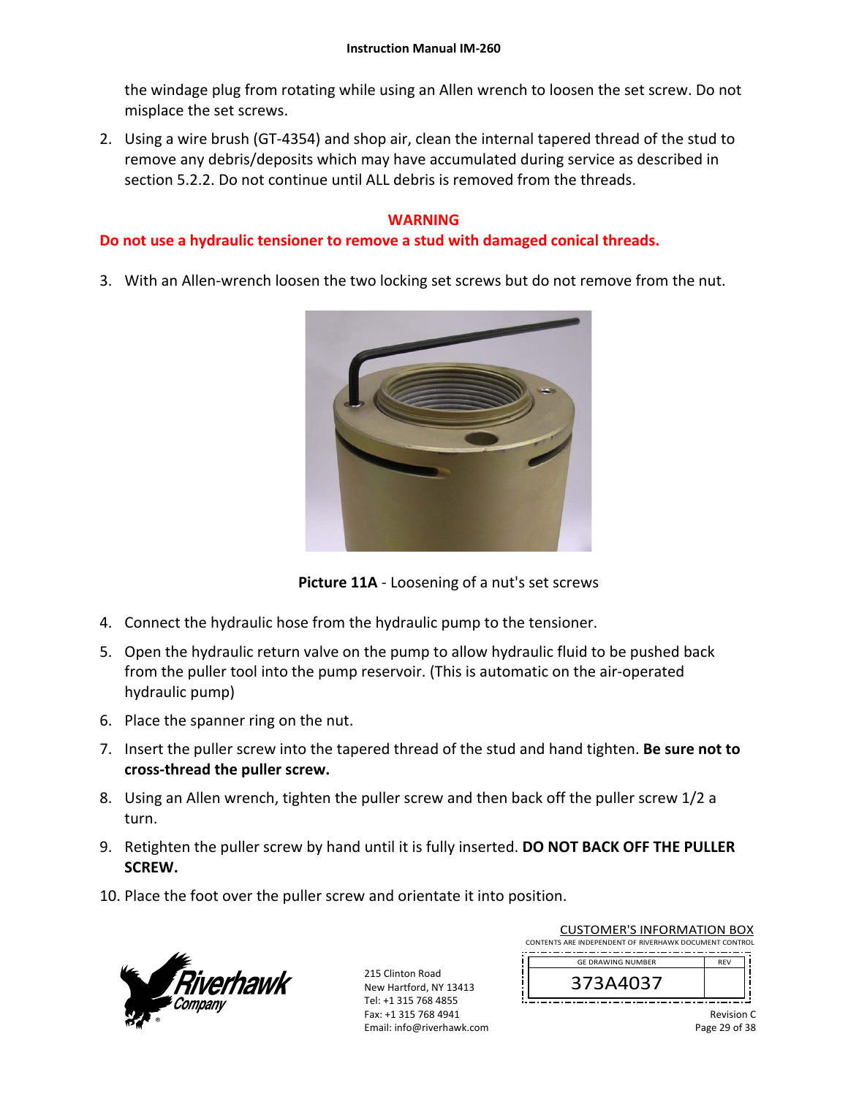the windage plug from rotating while using an Allen wrench to loosen the set screw. Do not misplace the set screws.

2. Using a wire brush (GT‐4354) and shop air, clean the internal tapered thread of the stud to remove any debris/deposits which may have accumulated during service as described in section 5.2.2. Do not continue until ALL debris is removed from the threads.

## **WARNING**

## **Do not use a hydraulic tensioner to remove a stud with damaged conical threads.**

3. With an Allen-wrench loosen the two locking set screws but do not remove from the nut.

![](_page_28_Picture_6.jpeg)

**Picture 11A** ‐ Loosening of a nut's set screws

- 4. Connect the hydraulic hose from the hydraulic pump to the tensioner.
- 5. Open the hydraulic return valve on the pump to allow hydraulic fluid to be pushed back from the puller tool into the pump reservoir. (This is automatic on the air‐operated hydraulic pump)
- 6. Place the spanner ring on the nut.
- 7. Insert the puller screw into the tapered thread of the stud and hand tighten. **Be sure not to cross‐thread the puller screw.**
- 8. Using an Allen wrench, tighten the puller screw and then back off the puller screw 1/2 a turn.
- 9. Retighten the puller screw by hand until it is fully inserted. **DO NOT BACK OFF THE PULLER SCREW.**
- 10. Place the foot over the puller screw and orientate it into position.

![](_page_28_Picture_15.jpeg)

| <b>CUSTOMER'S INFORMATION BOX</b>                      |            |
|--------------------------------------------------------|------------|
| CONTENTS ARE INDEPENDENT OF RIVERHAWK DOCUMENT CONTROL |            |
|                                                        |            |
| <b>GF DRAWING NUMBER</b>                               | <b>RFV</b> |
| 373A4037                                               |            |
|                                                        |            |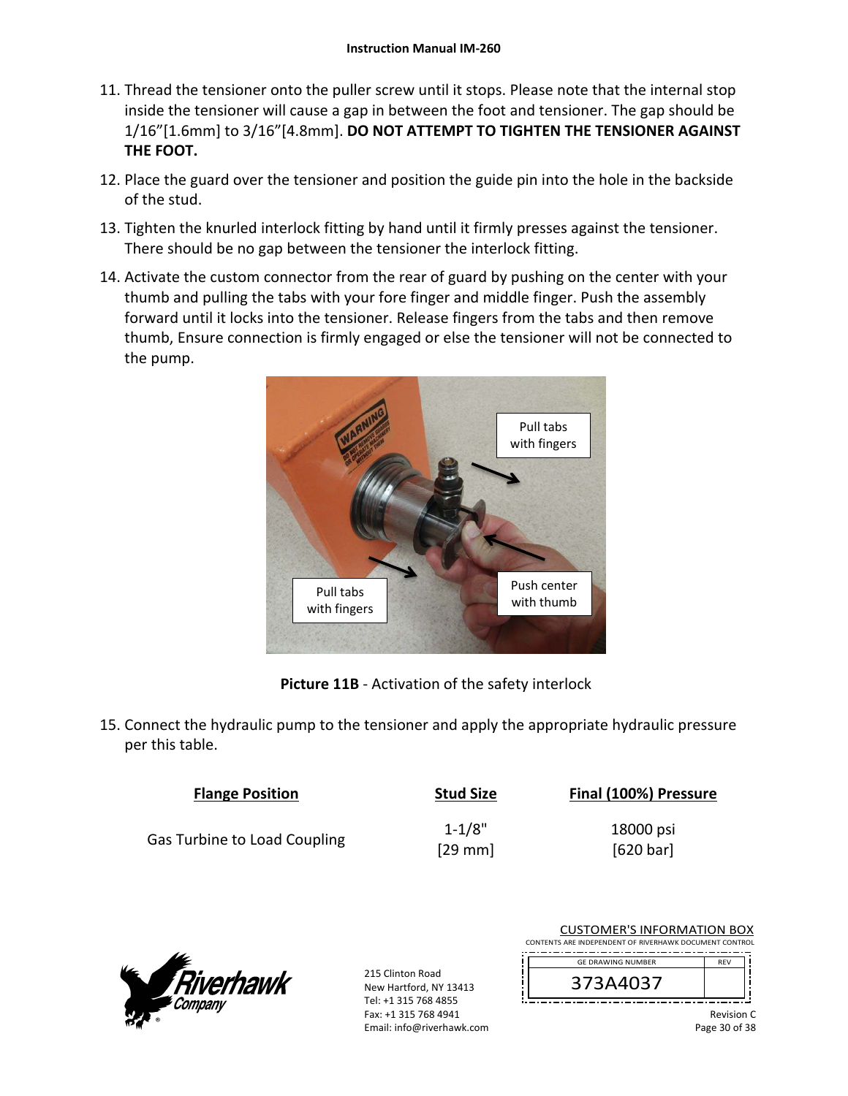- 11. Thread the tensioner onto the puller screw until it stops. Please note that the internal stop inside the tensioner will cause a gap in between the foot and tensioner. The gap should be 1/16"[1.6mm] to 3/16"[4.8mm]. **DO NOT ATTEMPT TO TIGHTEN THE TENSIONER AGAINST THE FOOT.**
- 12. Place the guard over the tensioner and position the guide pin into the hole in the backside of the stud.
- 13. Tighten the knurled interlock fitting by hand until it firmly presses against the tensioner. There should be no gap between the tensioner the interlock fitting.
- 14. Activate the custom connector from the rear of guard by pushing on the center with your thumb and pulling the tabs with your fore finger and middle finger. Push the assembly forward until it locks into the tensioner. Release fingers from the tabs and then remove thumb, Ensure connection is firmly engaged or else the tensioner will not be connected to the pump.

![](_page_29_Picture_5.jpeg)

**Picture 11B** ‐ Activation of the safety interlock

15. Connect the hydraulic pump to the tensioner and apply the appropriate hydraulic pressure per this table.

| <b>Flange Position</b>              | <b>Stud Size</b> | Final (100%) Pressure |
|-------------------------------------|------------------|-----------------------|
|                                     | $1 - 1/8"$       | 18000 psi             |
| <b>Gas Turbine to Load Coupling</b> | $[29$ mm         | [620 bar]             |

![](_page_29_Picture_9.jpeg)

215 Clinton Road New Hartford, NY 13413 Tel: +1 315 768 4855 Fax: +1 315 768 4941 Email: info@riverhawk.com

| CONTENTS ARE INDEPENDENT OF RIVERHAWK DOCUMENT CONTROL |            |
|--------------------------------------------------------|------------|
| <b>GE DRAWING NUMBER</b>                               | <b>RFV</b> |
| 373A4037                                               |            |
|                                                        | Revisio    |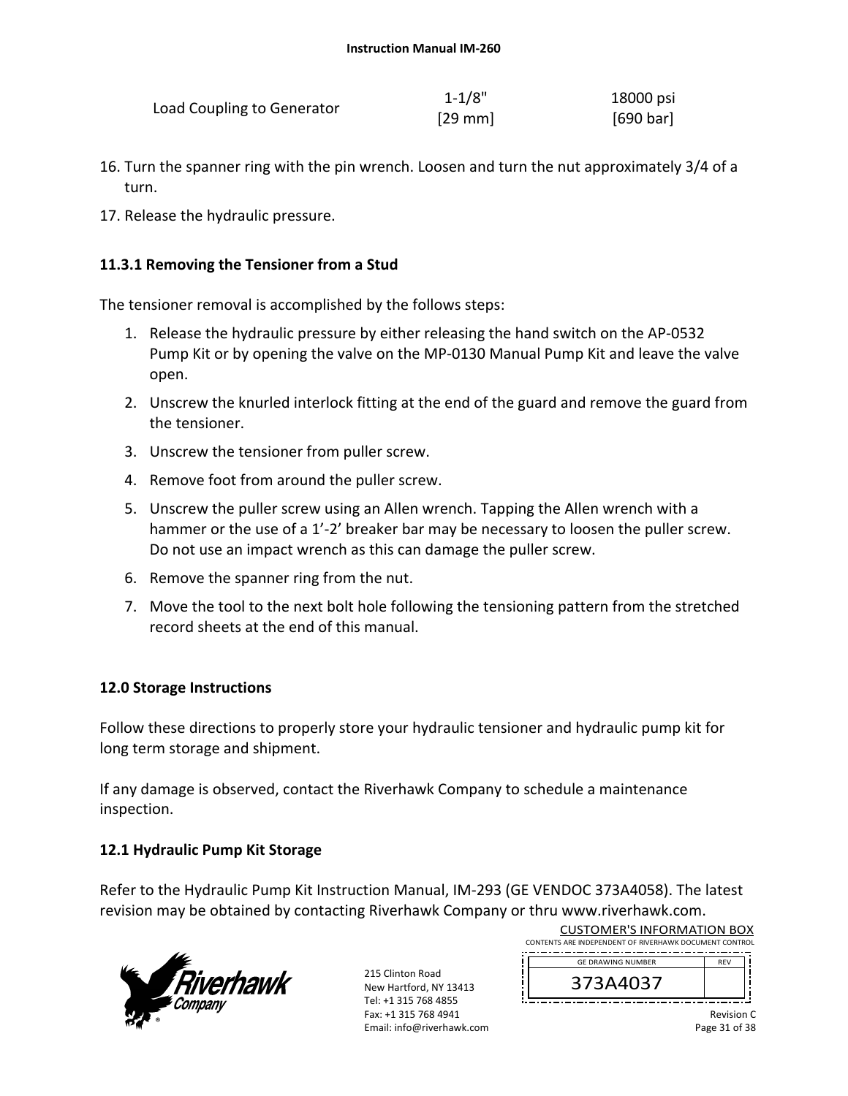|                            | $1 - 1/8"$   | 18000 psi |
|----------------------------|--------------|-----------|
| Load Coupling to Generator | $[29$ mm $]$ | [690 bar] |

- 16. Turn the spanner ring with the pin wrench. Loosen and turn the nut approximately 3/4 of a turn.
- 17. Release the hydraulic pressure.

## **11.3.1 Removing the Tensioner from a Stud**

The tensioner removal is accomplished by the follows steps:

- 1. Release the hydraulic pressure by either releasing the hand switch on the AP‐0532 Pump Kit or by opening the valve on the MP‐0130 Manual Pump Kit and leave the valve open.
- 2. Unscrew the knurled interlock fitting at the end of the guard and remove the guard from the tensioner.
- 3. Unscrew the tensioner from puller screw.
- 4. Remove foot from around the puller screw.
- 5. Unscrew the puller screw using an Allen wrench. Tapping the Allen wrench with a hammer or the use of a 1'-2' breaker bar may be necessary to loosen the puller screw. Do not use an impact wrench as this can damage the puller screw.
- 6. Remove the spanner ring from the nut.
- 7. Move the tool to the next bolt hole following the tensioning pattern from the stretched record sheets at the end of this manual.

## **12.0 Storage Instructions**

Follow these directions to properly store your hydraulic tensioner and hydraulic pump kit for long term storage and shipment.

If any damage is observed, contact the Riverhawk Company to schedule a maintenance inspection.

## **12.1 Hydraulic Pump Kit Storage**

Refer to the Hydraulic Pump Kit Instruction Manual, IM‐293 (GE VENDOC 373A4058). The latest revision may be obtained by contacting Riverhawk Company or thru www.riverhawk.com.

![](_page_30_Picture_18.jpeg)

215 Clinton Road New Hartford, NY 13413 Tel: +1 315 768 4855 Fax: +1 315 768 4941 Email: info@riverhawk.com

| CONTENTS ARE INDEPENDENT OF RIVERHAWK DOCUMENT CONTROL |            |
|--------------------------------------------------------|------------|
| <b>GE DRAWING NUMBER</b>                               | <b>RFV</b> |
| 373A4037                                               |            |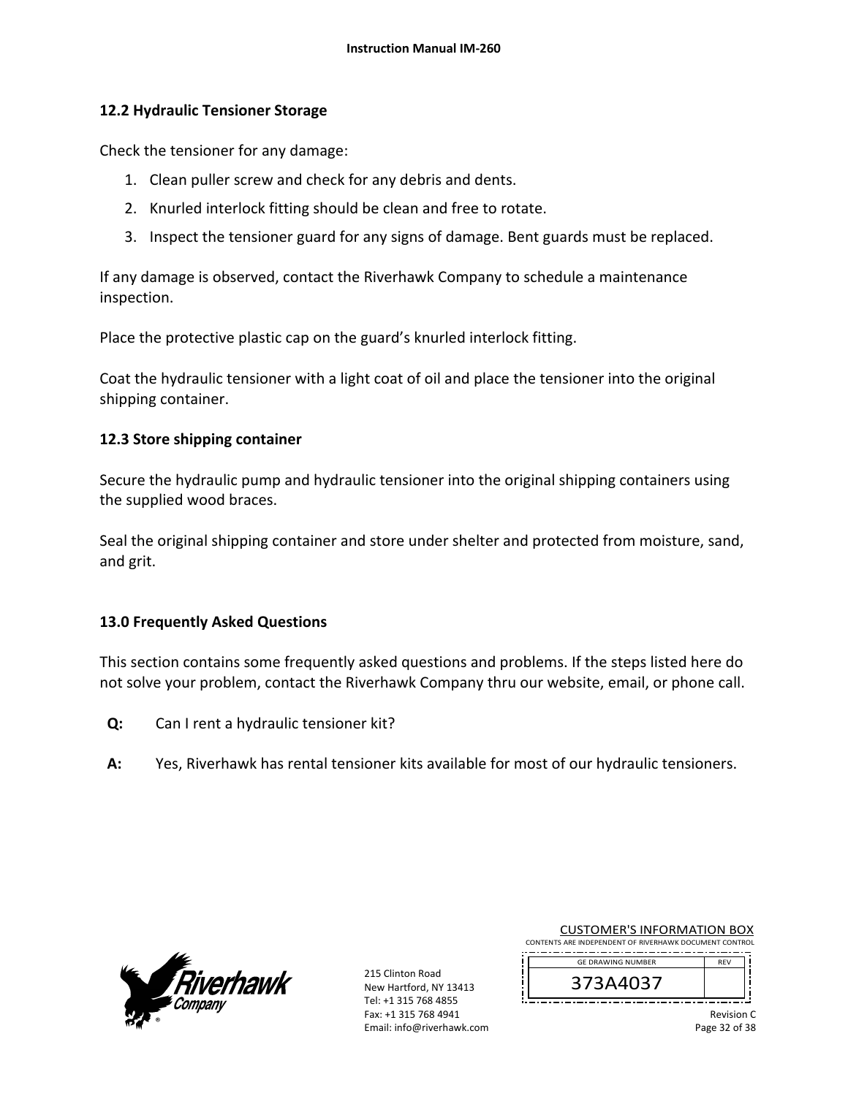## **12.2 Hydraulic Tensioner Storage**

Check the tensioner for any damage:

- 1. Clean puller screw and check for any debris and dents.
- 2. Knurled interlock fitting should be clean and free to rotate.
- 3. Inspect the tensioner guard for any signs of damage. Bent guards must be replaced.

If any damage is observed, contact the Riverhawk Company to schedule a maintenance inspection.

Place the protective plastic cap on the guard's knurled interlock fitting.

Coat the hydraulic tensioner with a light coat of oil and place the tensioner into the original shipping container.

## **12.3 Store shipping container**

Secure the hydraulic pump and hydraulic tensioner into the original shipping containers using the supplied wood braces.

Seal the original shipping container and store under shelter and protected from moisture, sand, and grit.

## **13.0 Frequently Asked Questions**

This section contains some frequently asked questions and problems. If the steps listed here do not solve your problem, contact the Riverhawk Company thru our website, email, or phone call.

- **Q:**  Can I rent a hydraulic tensioner kit?
- **A:**  Yes, Riverhawk has rental tensioner kits available for most of our hydraulic tensioners.

![](_page_31_Picture_16.jpeg)

215 Clinton Road New Hartford, NY 13413 Tel: +1 315 768 4855 Fax: +1 315 768 4941 Email: info@riverhawk.com

| CONTENTS ARE INDEPENDENT OF RIVERHAWK DOCUMENT CONTROL |            |
|--------------------------------------------------------|------------|
| <b>GE DRAWING NUMBER</b>                               | <b>RFV</b> |
| 373A4037                                               |            |
|                                                        |            |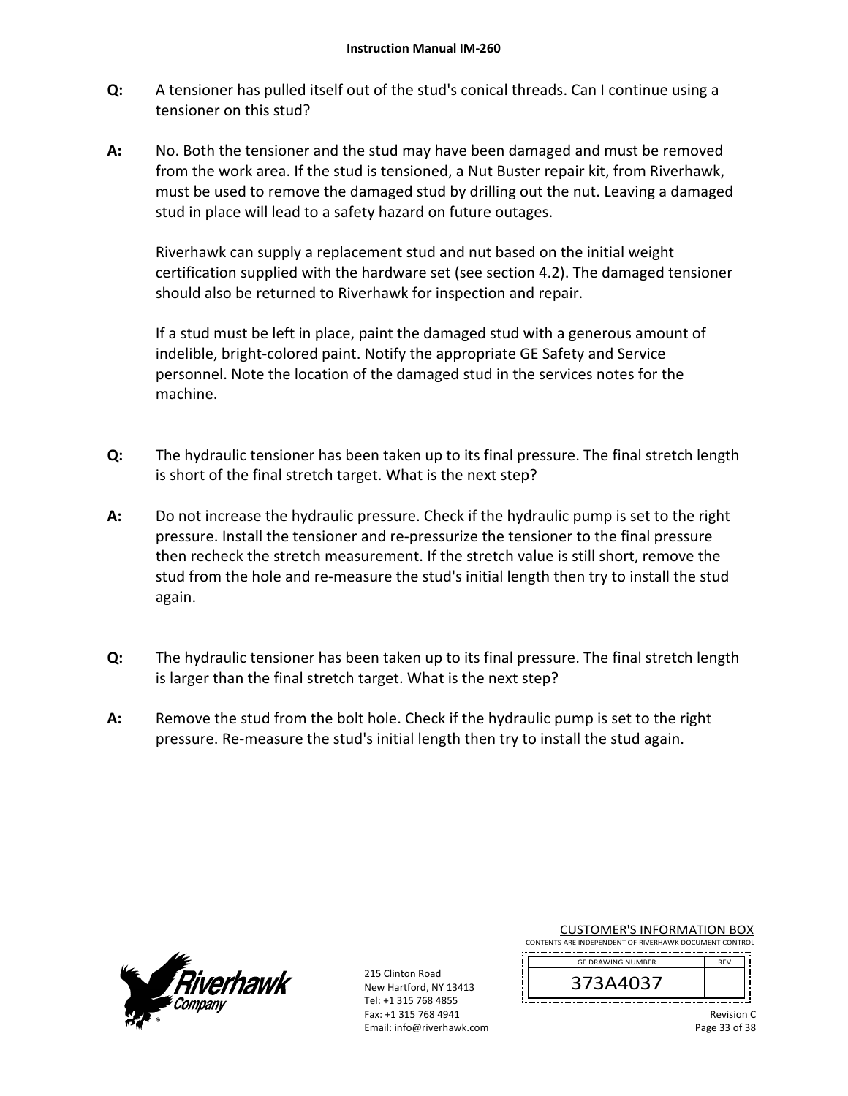- **Q:**  A tensioner has pulled itself out of the stud's conical threads. Can I continue using a tensioner on this stud?
- **A:**  No. Both the tensioner and the stud may have been damaged and must be removed from the work area. If the stud is tensioned, a Nut Buster repair kit, from Riverhawk, must be used to remove the damaged stud by drilling out the nut. Leaving a damaged stud in place will lead to a safety hazard on future outages.

Riverhawk can supply a replacement stud and nut based on the initial weight certification supplied with the hardware set (see section 4.2). The damaged tensioner should also be returned to Riverhawk for inspection and repair.

If a stud must be left in place, paint the damaged stud with a generous amount of indelible, bright‐colored paint. Notify the appropriate GE Safety and Service personnel. Note the location of the damaged stud in the services notes for the machine.

- **Q:**  The hydraulic tensioner has been taken up to its final pressure. The final stretch length is short of the final stretch target. What is the next step?
- **A:**  Do not increase the hydraulic pressure. Check if the hydraulic pump is set to the right pressure. Install the tensioner and re‐pressurize the tensioner to the final pressure then recheck the stretch measurement. If the stretch value is still short, remove the stud from the hole and re-measure the stud's initial length then try to install the stud again.
- **Q:**  The hydraulic tensioner has been taken up to its final pressure. The final stretch length is larger than the final stretch target. What is the next step?
- **A:**  Remove the stud from the bolt hole. Check if the hydraulic pump is set to the right pressure. Re‐measure the stud's initial length then try to install the stud again.

![](_page_32_Picture_9.jpeg)

215 Clinton Road New Hartford, NY 13413 Tel: +1 315 768 4855 Fax: +1 315 768 4941 Email: info@riverhawk.com

| <b>CUSTOMER'S INFORMATION BOX</b> |  |  |  |  |  |  |  |  |  |
|-----------------------------------|--|--|--|--|--|--|--|--|--|
|                                   |  |  |  |  |  |  |  |  |  |

CONTENTS ARE INDEPENDENT OF RIVERHAWK DOCUMENT CONTROL --------------------------------------

![](_page_32_Picture_13.jpeg)

Revision C Page 33 of 38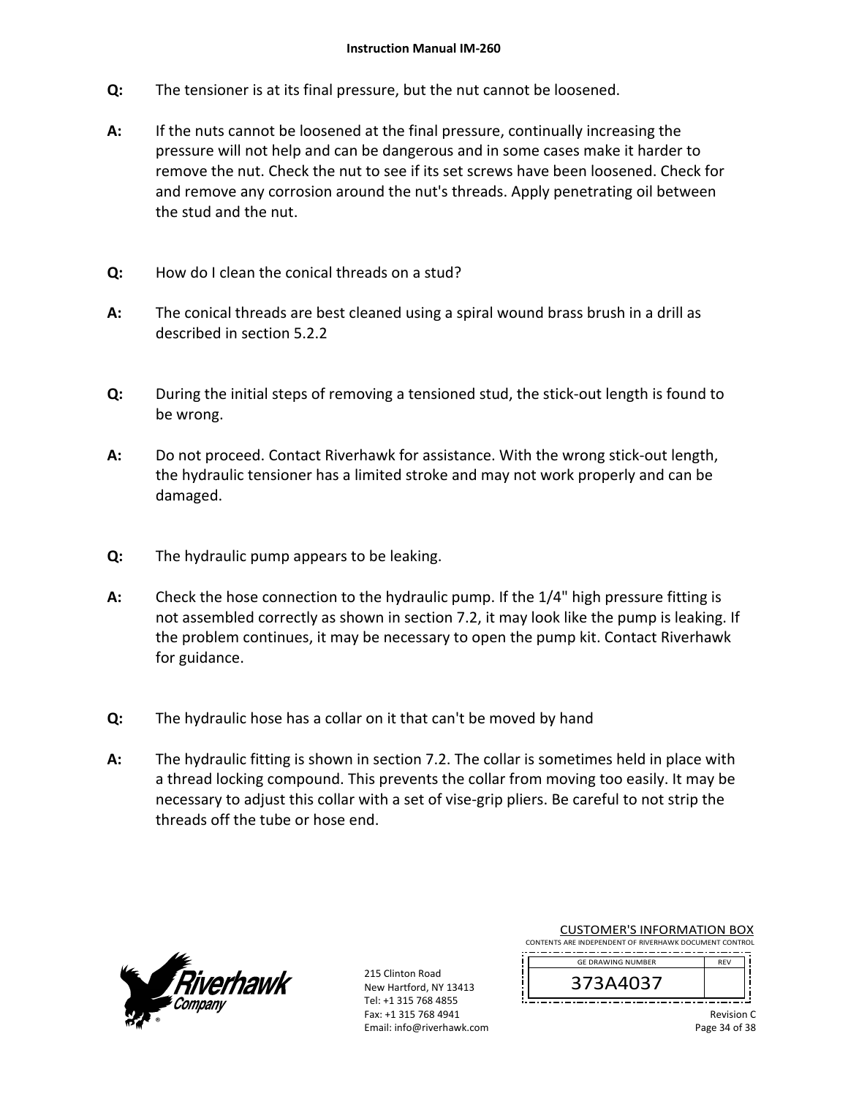- **Q:**  The tensioner is at its final pressure, but the nut cannot be loosened.
- **A:**  If the nuts cannot be loosened at the final pressure, continually increasing the pressure will not help and can be dangerous and in some cases make it harder to remove the nut. Check the nut to see if its set screws have been loosened. Check for and remove any corrosion around the nut's threads. Apply penetrating oil between the stud and the nut.
- **Q:**  How do I clean the conical threads on a stud?
- **A:**  The conical threads are best cleaned using a spiral wound brass brush in a drill as described in section 5.2.2
- **Q:**  During the initial steps of removing a tensioned stud, the stick‐out length is found to be wrong.
- **A:**  Do not proceed. Contact Riverhawk for assistance. With the wrong stick‐out length, the hydraulic tensioner has a limited stroke and may not work properly and can be damaged.
- **Q:**  The hydraulic pump appears to be leaking.
- **A:**  Check the hose connection to the hydraulic pump. If the 1/4" high pressure fitting is not assembled correctly as shown in section 7.2, it may look like the pump is leaking. If the problem continues, it may be necessary to open the pump kit. Contact Riverhawk for guidance.
- **Q:**  The hydraulic hose has a collar on it that can't be moved by hand
- **A:**  The hydraulic fitting is shown in section 7.2. The collar is sometimes held in place with a thread locking compound. This prevents the collar from moving too easily. It may be necessary to adjust this collar with a set of vise‐grip pliers. Be careful to not strip the threads off the tube or hose end.

![](_page_33_Picture_11.jpeg)

215 Clinton Road New Hartford, NY 13413 Tel: +1 315 768 4855 Fax: +1 315 768 4941 Email: info@riverhawk.com

| CONTENTS ARE INDEPENDENT OF RIVERHAWK DOCUMENT CONTROL |            |
|--------------------------------------------------------|------------|
| <b>GE DRAWING NUMBER</b>                               | <b>RFV</b> |
| 373A4037                                               |            |
|                                                        |            |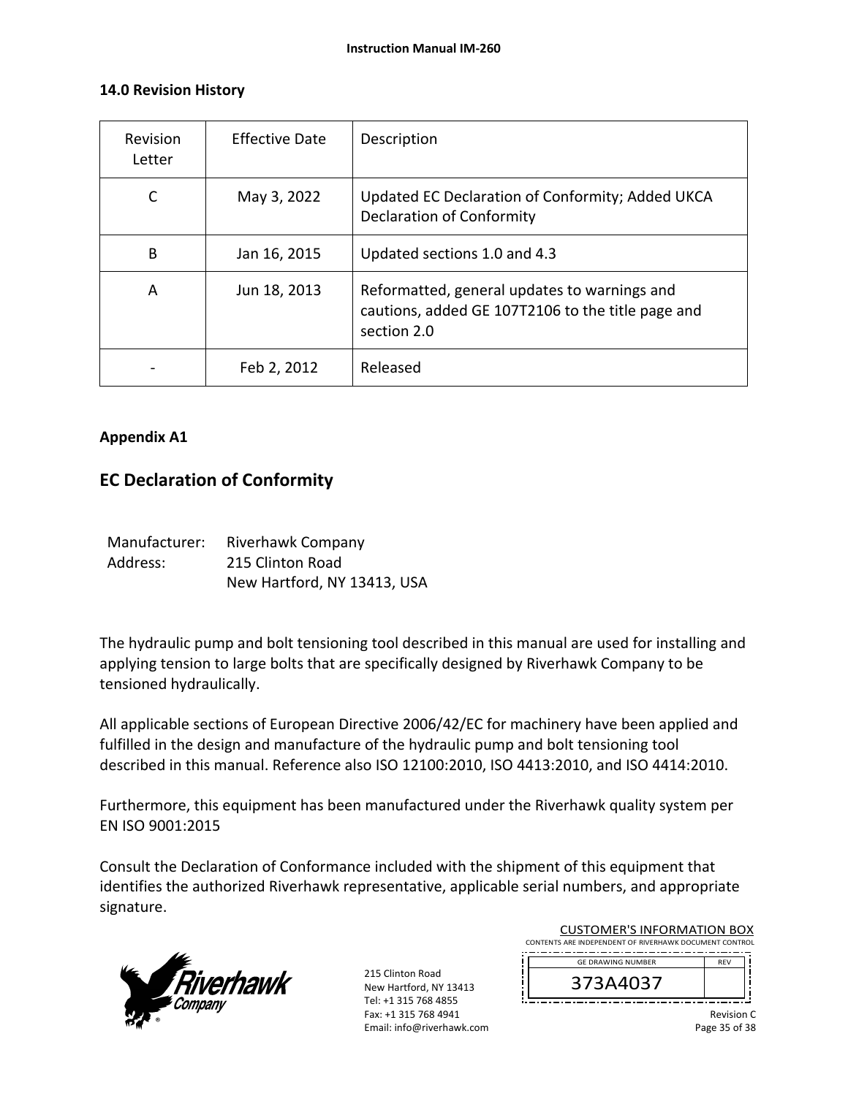## **14.0 Revision History**

| Revision<br>Letter | <b>Effective Date</b> | Description                                                                                                      |
|--------------------|-----------------------|------------------------------------------------------------------------------------------------------------------|
|                    | May 3, 2022           | Updated EC Declaration of Conformity; Added UKCA<br><b>Declaration of Conformity</b>                             |
| B                  | Jan 16, 2015          | Updated sections 1.0 and 4.3                                                                                     |
| A                  | Jun 18, 2013          | Reformatted, general updates to warnings and<br>cautions, added GE 107T2106 to the title page and<br>section 2.0 |
|                    | Feb 2, 2012           | Released                                                                                                         |

## **Appendix A1**

## **EC Declaration of Conformity**

| Manufacturer: | <b>Riverhawk Company</b>    |
|---------------|-----------------------------|
| Address:      | 215 Clinton Road            |
|               | New Hartford, NY 13413, USA |

The hydraulic pump and bolt tensioning tool described in this manual are used for installing and applying tension to large bolts that are specifically designed by Riverhawk Company to be tensioned hydraulically.

All applicable sections of European Directive 2006/42/EC for machinery have been applied and fulfilled in the design and manufacture of the hydraulic pump and bolt tensioning tool described in this manual. Reference also ISO 12100:2010, ISO 4413:2010, and ISO 4414:2010.

Furthermore, this equipment has been manufactured under the Riverhawk quality system per EN ISO 9001:2015

Consult the Declaration of Conformance included with the shipment of this equipment that identifies the authorized Riverhawk representative, applicable serial numbers, and appropriate signature.

![](_page_34_Picture_10.jpeg)

| CONTENTS ARE INDEPENDENT OF RIVERHAWK DOCUMENT CONTROL<br><b>GE DRAWING NUMBER</b><br><b>RFV</b> |  | <b>CUSTOMER'S INFORMATION BOX</b> |  |  |  |
|--------------------------------------------------------------------------------------------------|--|-----------------------------------|--|--|--|
|                                                                                                  |  |                                   |  |  |  |
|                                                                                                  |  |                                   |  |  |  |
|                                                                                                  |  | 373A4037                          |  |  |  |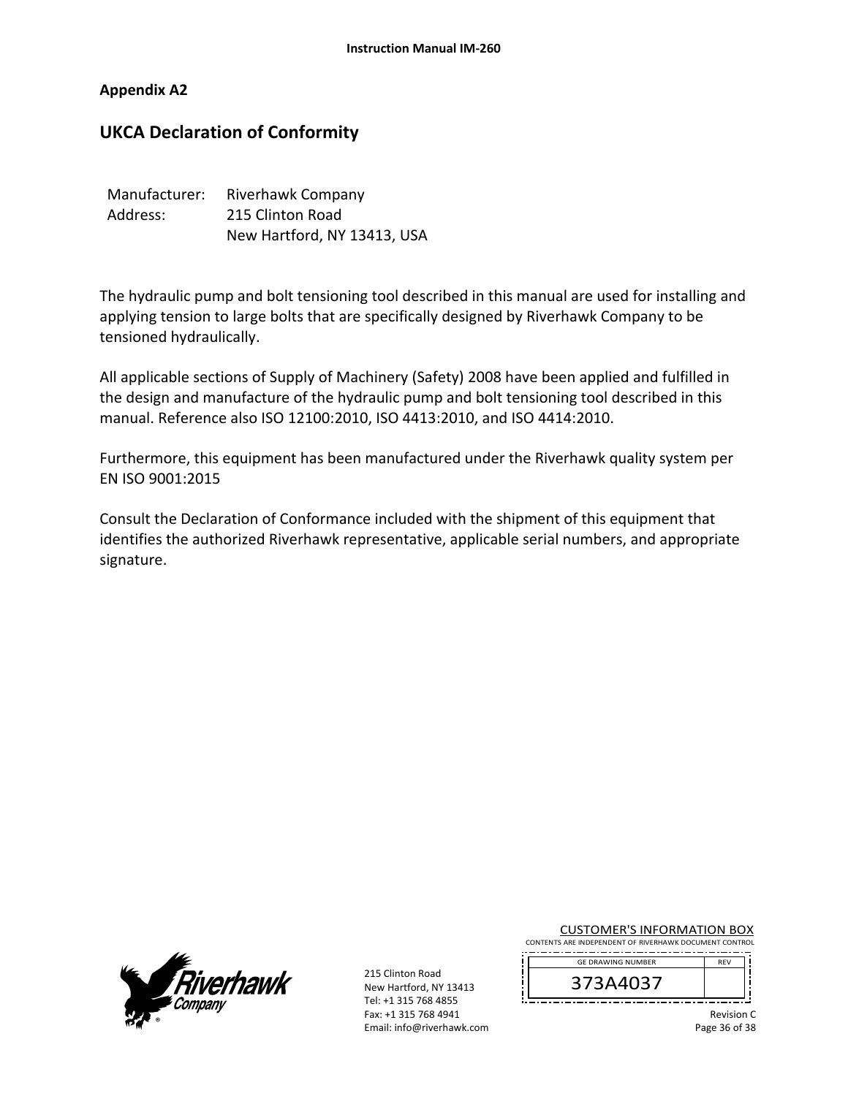#### **Appendix A2**

## **UKCA Declaration of Conformity**

| Manufacturer: | Riverhawk Company           |
|---------------|-----------------------------|
| Address:      | 215 Clinton Road            |
|               | New Hartford, NY 13413, USA |

The hydraulic pump and bolt tensioning tool described in this manual are used for installing and applying tension to large bolts that are specifically designed by Riverhawk Company to be tensioned hydraulically.

All applicable sections of Supply of Machinery (Safety) 2008 have been applied and fulfilled in the design and manufacture of the hydraulic pump and bolt tensioning tool described in this manual. Reference also ISO 12100:2010, ISO 4413:2010, and ISO 4414:2010.

Furthermore, this equipment has been manufactured under the Riverhawk quality system per EN ISO 9001:2015

Consult the Declaration of Conformance included with the shipment of this equipment that identifies the authorized Riverhawk representative, applicable serial numbers, and appropriate signature.

![](_page_35_Picture_8.jpeg)

215 Clinton Road New Hartford, NY 13413 Tel: +1 315 768 4855 Fax: +1 315 768 4941 Email: info@riverhawk.com CUSTOMER'S INFORMATION BOX

CONTENTS ARE INDEPENDENT OF RIVERHAWK DOCUMENT CONTROL . . <u>. . . . . . . . . . . . . . . . .</u>

![](_page_35_Picture_12.jpeg)

Revision C Page 36 of 38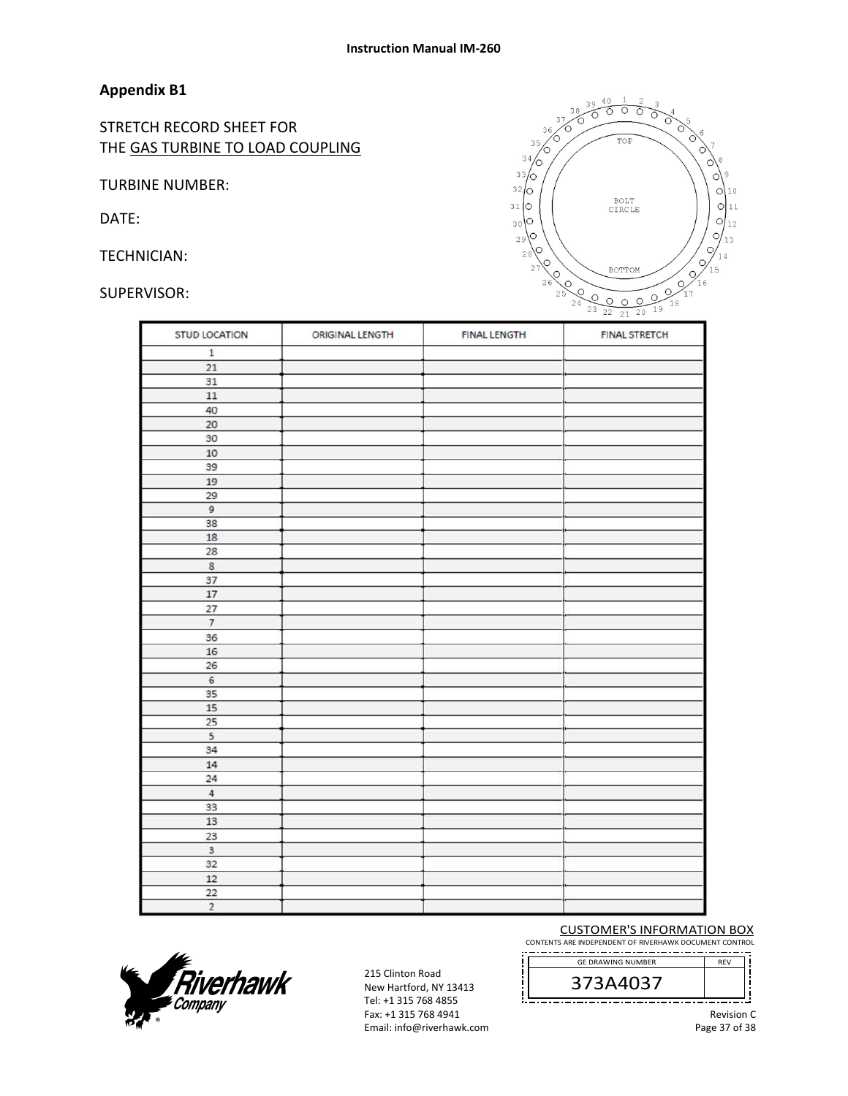#### **Appendix B1**

STRETCH RECORD SHEET FOR THE GAS TURBINE TO LOAD COUPLING

TURBINE NUMBER:

DATE:

TECHNICIAN:

#### SUPERVISOR:

![](_page_36_Picture_7.jpeg)

| <b>STUD LOCATION</b>    | ORIGINAL LENGTH | <b>FINAL LENGTH</b> | <b>FINAL STRETCH</b> |
|-------------------------|-----------------|---------------------|----------------------|
| $\mathbf 1$             |                 |                     |                      |
| 21                      |                 |                     |                      |
| 31                      |                 |                     |                      |
| 11                      |                 |                     |                      |
| 40                      |                 |                     |                      |
| 20                      |                 |                     |                      |
| 30                      |                 |                     |                      |
| 10                      |                 |                     |                      |
| 39                      |                 |                     |                      |
| 19                      |                 |                     |                      |
| 29                      |                 |                     |                      |
| 9                       |                 |                     |                      |
| 38                      |                 |                     |                      |
| 18                      |                 |                     |                      |
| 28                      |                 |                     |                      |
| $\bf8$                  |                 |                     |                      |
| 37                      |                 |                     |                      |
| 17                      |                 |                     |                      |
| 27                      |                 |                     |                      |
| $\overline{7}$          |                 |                     |                      |
| 36                      |                 |                     |                      |
| 16                      |                 |                     |                      |
| 26                      |                 |                     |                      |
| 6                       |                 |                     |                      |
| 35                      |                 |                     |                      |
| 15                      |                 |                     |                      |
| 25                      |                 |                     |                      |
| 5                       |                 |                     |                      |
| 34                      |                 |                     |                      |
| 14                      |                 |                     |                      |
| 24                      |                 |                     |                      |
| 4                       |                 |                     |                      |
| 33                      |                 |                     |                      |
| 13                      |                 |                     |                      |
| 23                      |                 |                     |                      |
| $\overline{\mathbf{3}}$ |                 |                     |                      |
| 32                      |                 |                     |                      |
| 12                      |                 |                     |                      |
| 22                      |                 |                     |                      |
| $\overline{2}$          |                 |                     |                      |

![](_page_36_Picture_9.jpeg)

215 Clinton Road New Hartford, NY 13413 Tel: +1 315 768 4855 Fax: +1 315 768 4941 Email: info@riverhawk.com CUSTOMER'S INFORMATION BOX

CONTENTS ARE INDEPENDENT OF RIVERHAWK DOCUMENT CONTROL

 GE DRAWING NUMBER REV 373A4037